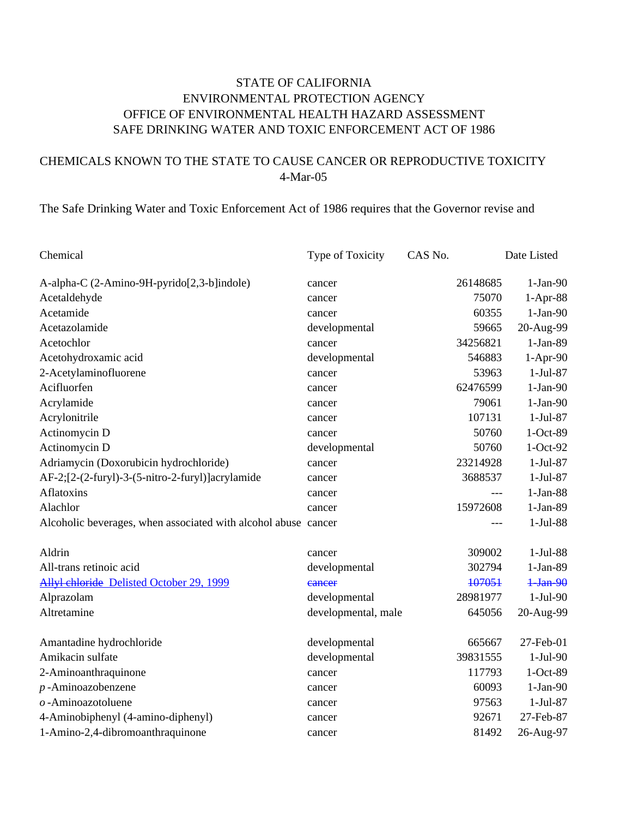## STATE OF CALIFORNIA ENVIRONMENTAL PROTECTION AGENCY OFFICE OF ENVIRONMENTAL HEALTH HAZARD ASSESSMENT SAFE DRINKING WATER AND TOXIC ENFORCEMENT ACT OF 1986

## CHEMICALS KNOWN TO THE STATE TO CAUSE CANCER OR REPRODUCTIVE TOXICITY 4-Mar-05

## The Safe Drinking Water and Toxic Enforcement Act of 1986 requires that the Governor revise and

| Chemical                                                       | Type of Toxicity    | CAS No.  | Date Listed |
|----------------------------------------------------------------|---------------------|----------|-------------|
| A-alpha-C (2-Amino-9H-pyrido[2,3-b]indole)                     | cancer              | 26148685 | $1-Jan-90$  |
| Acetaldehyde                                                   | cancer              | 75070    | $1-Apr-88$  |
| Acetamide                                                      | cancer              | 60355    | $1-Jan-90$  |
| Acetazolamide                                                  | developmental       | 59665    | 20-Aug-99   |
| Acetochlor                                                     | cancer              | 34256821 | 1-Jan-89    |
| Acetohydroxamic acid                                           | developmental       | 546883   | $1-Apr-90$  |
| 2-Acetylaminofluorene                                          | cancer              | 53963    | $1-Jul-87$  |
| Acifluorfen                                                    | cancer              | 62476599 | $1-Jan-90$  |
| Acrylamide                                                     | cancer              | 79061    | $1-Jan-90$  |
| Acrylonitrile                                                  | cancer              | 107131   | $1-Jul-87$  |
| Actinomycin D                                                  | cancer              | 50760    | $1-Oct-89$  |
| Actinomycin D                                                  | developmental       | 50760    | $1-Oct-92$  |
| Adriamycin (Doxorubicin hydrochloride)                         | cancer              | 23214928 | $1-Jul-87$  |
| AF-2;[2-(2-furyl)-3-(5-nitro-2-furyl)]acrylamide               | cancer              | 3688537  | 1-Jul-87    |
| Aflatoxins                                                     | cancer              | ---      | $1-Jan-88$  |
| Alachlor                                                       | cancer              | 15972608 | 1-Jan-89    |
| Alcoholic beverages, when associated with alcohol abuse cancer |                     | ---      | 1-Jul-88    |
| Aldrin                                                         | cancer              | 309002   | $1-Jul-88$  |
| All-trans retinoic acid                                        | developmental       | 302794   | 1-Jan-89    |
| Allyl chloride Delisted October 29, 1999                       | eancer              | 107051   | $1-Jan-90$  |
| Alprazolam                                                     | developmental       | 28981977 | $1-Jul-90$  |
| Altretamine                                                    | developmental, male | 645056   | 20-Aug-99   |
| Amantadine hydrochloride                                       | developmental       | 665667   | 27-Feb-01   |
| Amikacin sulfate                                               | developmental       | 39831555 | $1-Jul-90$  |
| 2-Aminoanthraquinone                                           | cancer              | 117793   | 1-Oct-89    |
| $p$ -Aminoazobenzene                                           | cancer              | 60093    | $1-Jan-90$  |
| $o$ -Aminoazotoluene                                           | cancer              | 97563    | $1-Jul-87$  |
| 4-Aminobiphenyl (4-amino-diphenyl)                             | cancer              | 92671    | 27-Feb-87   |
| 1-Amino-2,4-dibromoanthraquinone                               | cancer              | 81492    | 26-Aug-97   |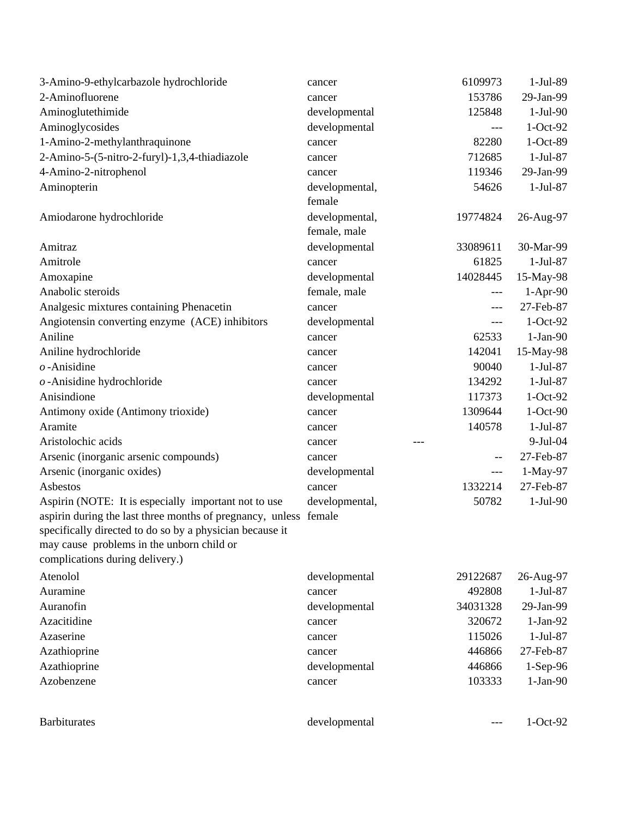| 3-Amino-9-ethylcarbazole hydrochloride                                                                                                                                                                                                                               | cancer                         | 6109973                  | 1-Jul-89   |
|----------------------------------------------------------------------------------------------------------------------------------------------------------------------------------------------------------------------------------------------------------------------|--------------------------------|--------------------------|------------|
| 2-Aminofluorene                                                                                                                                                                                                                                                      | cancer                         | 153786                   | 29-Jan-99  |
| Aminoglutethimide                                                                                                                                                                                                                                                    | developmental                  | 125848                   | $1-Jul-90$ |
| Aminoglycosides                                                                                                                                                                                                                                                      | developmental                  | ---                      | $1-Oct-92$ |
| 1-Amino-2-methylanthraquinone                                                                                                                                                                                                                                        | cancer                         | 82280                    | 1-Oct-89   |
| 2-Amino-5-(5-nitro-2-furyl)-1,3,4-thiadiazole                                                                                                                                                                                                                        | cancer                         | 712685                   | $1-Jul-87$ |
| 4-Amino-2-nitrophenol                                                                                                                                                                                                                                                | cancer                         | 119346                   | 29-Jan-99  |
| Aminopterin                                                                                                                                                                                                                                                          | developmental,<br>female       | 54626                    | $1-Jul-87$ |
| Amiodarone hydrochloride                                                                                                                                                                                                                                             | developmental,<br>female, male | 19774824                 | 26-Aug-97  |
| Amitraz                                                                                                                                                                                                                                                              | developmental                  | 33089611                 | 30-Mar-99  |
| Amitrole                                                                                                                                                                                                                                                             | cancer                         | 61825                    | $1-Jul-87$ |
| Amoxapine                                                                                                                                                                                                                                                            | developmental                  | 14028445                 | 15-May-98  |
| Anabolic steroids                                                                                                                                                                                                                                                    | female, male                   | ---                      | 1-Apr-90   |
| Analgesic mixtures containing Phenacetin                                                                                                                                                                                                                             | cancer                         | ---                      | 27-Feb-87  |
| Angiotensin converting enzyme (ACE) inhibitors                                                                                                                                                                                                                       | developmental                  | ---                      | $1-Oct-92$ |
| Aniline                                                                                                                                                                                                                                                              | cancer                         | 62533                    | $1-Jan-90$ |
| Aniline hydrochloride                                                                                                                                                                                                                                                | cancer                         | 142041                   | 15-May-98  |
| $o$ -Anisidine                                                                                                                                                                                                                                                       | cancer                         | 90040                    | $1-Jul-87$ |
| $o$ -Anisidine hydrochloride                                                                                                                                                                                                                                         | cancer                         | 134292                   | 1-Jul-87   |
| Anisindione                                                                                                                                                                                                                                                          | developmental                  | 117373                   | $1-Oct-92$ |
| Antimony oxide (Antimony trioxide)                                                                                                                                                                                                                                   | cancer                         | 1309644                  | $1-Oct-90$ |
| Aramite                                                                                                                                                                                                                                                              | cancer                         | 140578                   | $1-Jul-87$ |
| Aristolochic acids                                                                                                                                                                                                                                                   | cancer<br>---                  |                          | 9-Jul-04   |
| Arsenic (inorganic arsenic compounds)                                                                                                                                                                                                                                | cancer                         | $\overline{\phantom{m}}$ | 27-Feb-87  |
| Arsenic (inorganic oxides)                                                                                                                                                                                                                                           | developmental                  | ---                      | 1-May-97   |
| Asbestos                                                                                                                                                                                                                                                             | cancer                         | 1332214                  | 27-Feb-87  |
| Aspirin (NOTE: It is especially important not to use<br>aspirin during the last three months of pregnancy, unless female<br>specifically directed to do so by a physician because it<br>may cause problems in the unborn child or<br>complications during delivery.) | developmental,                 | 50782                    | $1-Jul-90$ |
| Atenolol                                                                                                                                                                                                                                                             | developmental                  | 29122687                 | 26-Aug-97  |
| Auramine                                                                                                                                                                                                                                                             | cancer                         | 492808                   | $1-Jul-87$ |
| Auranofin                                                                                                                                                                                                                                                            | developmental                  | 34031328                 | 29-Jan-99  |
| Azacitidine                                                                                                                                                                                                                                                          | cancer                         | 320672                   | $1-Jan-92$ |
| Azaserine                                                                                                                                                                                                                                                            | cancer                         | 115026                   | $1-Jul-87$ |
| Azathioprine                                                                                                                                                                                                                                                         | cancer                         | 446866                   | 27-Feb-87  |
| Azathioprine                                                                                                                                                                                                                                                         | developmental                  | 446866                   | $1-Sep-96$ |
| Azobenzene                                                                                                                                                                                                                                                           | cancer                         | 103333                   | $1-Jan-90$ |
| <b>Barbiturates</b>                                                                                                                                                                                                                                                  | developmental                  |                          | $1-Oct-92$ |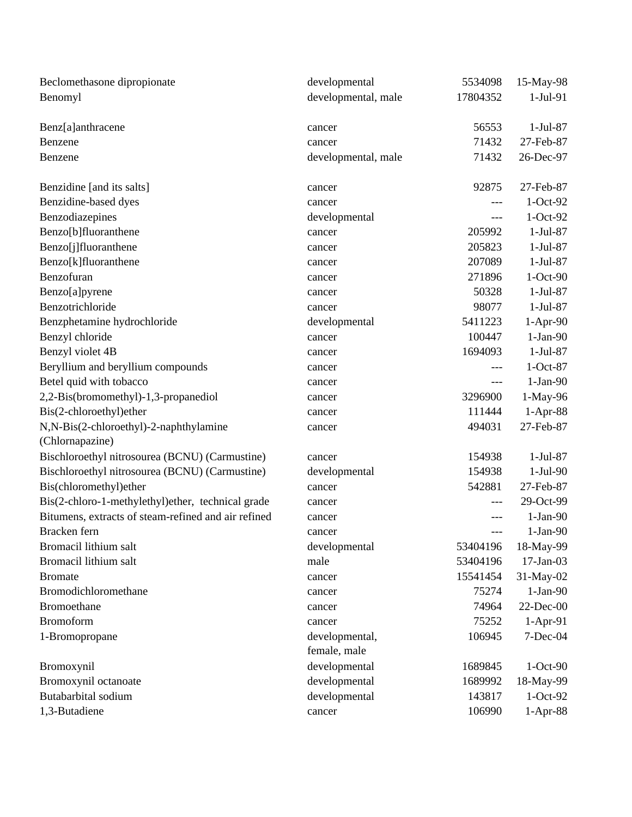| Beclomethasone dipropionate                         | developmental       | 5534098  | 15-May-98   |
|-----------------------------------------------------|---------------------|----------|-------------|
| Benomyl                                             | developmental, male | 17804352 | $1-Jul-91$  |
| Benz[a]anthracene                                   | cancer              | 56553    | $1-Jul-87$  |
| Benzene                                             | cancer              | 71432    | 27-Feb-87   |
| Benzene                                             | developmental, male | 71432    | 26-Dec-97   |
| Benzidine [and its salts]                           | cancer              | 92875    | 27-Feb-87   |
| Benzidine-based dyes                                | cancer              | ---      | $1-Oct-92$  |
| Benzodiazepines                                     | developmental       | ---      | $1-Oct-92$  |
| Benzo[b]fluoranthene                                | cancer              | 205992   | $1-Jul-87$  |
| Benzo[j]fluoranthene                                | cancer              | 205823   | 1-Jul-87    |
| Benzo[k]fluoranthene                                | cancer              | 207089   | $1-Jul-87$  |
| Benzofuran                                          | cancer              | 271896   | 1-Oct-90    |
| Benzo[a]pyrene                                      | cancer              | 50328    | $1-Jul-87$  |
| Benzotrichloride                                    | cancer              | 98077    | $1-Jul-87$  |
| Benzphetamine hydrochloride                         | developmental       | 5411223  | $1-Apr-90$  |
| Benzyl chloride                                     | cancer              | 100447   | $1-Jan-90$  |
| Benzyl violet 4B                                    | cancer              | 1694093  | 1-Jul-87    |
| Beryllium and beryllium compounds                   | cancer              |          | $1-Oct-87$  |
| Betel quid with tobacco                             | cancer              | ---      | $1-Jan-90$  |
| 2,2-Bis(bromomethyl)-1,3-propanediol                | cancer              | 3296900  | 1-May-96    |
| Bis(2-chloroethyl)ether                             | cancer              | 111444   | 1-Apr-88    |
| N,N-Bis(2-chloroethyl)-2-naphthylamine              | cancer              | 494031   | 27-Feb-87   |
| (Chlornapazine)                                     |                     |          |             |
| Bischloroethyl nitrosourea (BCNU) (Carmustine)      | cancer              | 154938   | $1-Jul-87$  |
| Bischloroethyl nitrosourea (BCNU) (Carmustine)      | developmental       | 154938   | $1-Jul-90$  |
| Bis(chloromethyl)ether                              | cancer              | 542881   | 27-Feb-87   |
| Bis(2-chloro-1-methylethyl)ether, technical grade   | cancer              |          | 29-Oct-99   |
| Bitumens, extracts of steam-refined and air refined | cancer              |          | $1-Jan-90$  |
| Bracken fern                                        | cancer              | ---      | $1-Jan-90$  |
| Bromacil lithium salt                               | developmental       | 53404196 | 18-May-99   |
| Bromacil lithium salt                               | male                | 53404196 | $17-Jan-03$ |
| <b>Bromate</b>                                      | cancer              | 15541454 | 31-May-02   |
| Bromodichloromethane                                | cancer              | 75274    | $1-Jan-90$  |
| Bromoethane                                         | cancer              | 74964    | 22-Dec-00   |
| <b>Bromoform</b>                                    | cancer              | 75252    | $1-Apr-91$  |
| 1-Bromopropane                                      | developmental,      | 106945   | 7-Dec-04    |
|                                                     | female, male        |          |             |
| Bromoxynil                                          | developmental       | 1689845  | $1-Oct-90$  |
| Bromoxynil octanoate                                | developmental       | 1689992  | 18-May-99   |
| Butabarbital sodium                                 | developmental       | 143817   | $1-Oct-92$  |
| 1,3-Butadiene                                       | cancer              | 106990   | $1-Apr-88$  |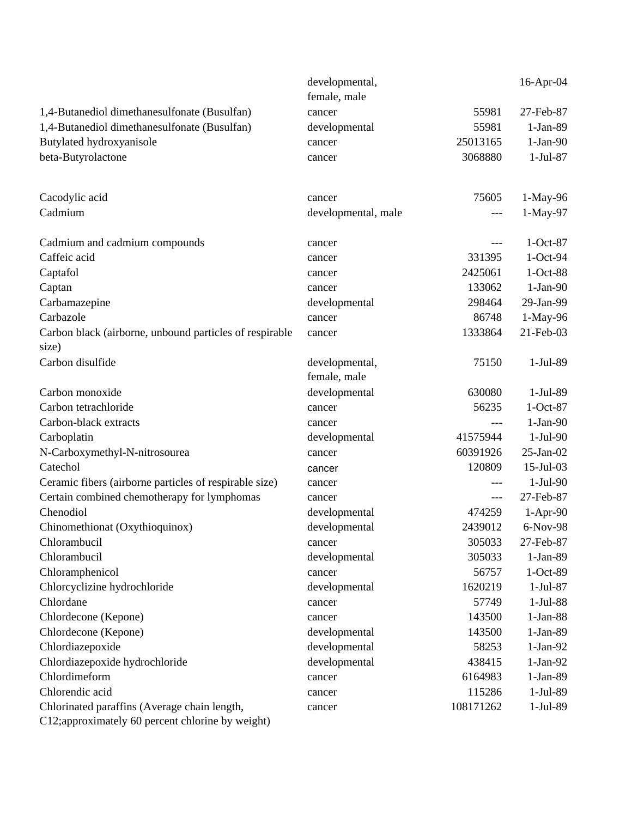|                                                                  | developmental,      |           | 16-Apr-04       |
|------------------------------------------------------------------|---------------------|-----------|-----------------|
|                                                                  | female, male        |           |                 |
| 1,4-Butanediol dimethanesulfonate (Busulfan)                     | cancer              | 55981     | 27-Feb-87       |
| 1,4-Butanediol dimethanesulfonate (Busulfan)                     | developmental       | 55981     | $1-Jan-89$      |
| Butylated hydroxyanisole                                         | cancer              | 25013165  | $1-Jan-90$      |
| beta-Butyrolactone                                               | cancer              | 3068880   | $1-Jul-87$      |
| Cacodylic acid                                                   | cancer              | 75605     | 1-May-96        |
| Cadmium                                                          | developmental, male | ---       | 1-May-97        |
| Cadmium and cadmium compounds                                    | cancer              | ---       | $1-Oct-87$      |
| Caffeic acid                                                     | cancer              | 331395    | $1-Oct-94$      |
| Captafol                                                         | cancer              | 2425061   | 1-Oct-88        |
| Captan                                                           | cancer              | 133062    | $1-Jan-90$      |
| Carbamazepine                                                    | developmental       | 298464    | 29-Jan-99       |
| Carbazole                                                        | cancer              | 86748     | 1-May-96        |
| Carbon black (airborne, unbound particles of respirable<br>size) | cancer              | 1333864   | 21-Feb-03       |
| Carbon disulfide                                                 | developmental,      | 75150     | 1-Jul-89        |
|                                                                  | female, male        |           |                 |
| Carbon monoxide                                                  | developmental       | 630080    | $1-Jul-89$      |
| Carbon tetrachloride                                             | cancer              | 56235     | $1-Oct-87$      |
| Carbon-black extracts                                            | cancer              | ---       | $1-Jan-90$      |
| Carboplatin                                                      | developmental       | 41575944  | $1-Jul-90$      |
| N-Carboxymethyl-N-nitrosourea                                    | cancer              | 60391926  | $25$ -Jan- $02$ |
| Catechol                                                         | cancer              | 120809    | 15-Jul-03       |
| Ceramic fibers (airborne particles of respirable size)           | cancer              | $---$     | $1-Jul-90$      |
| Certain combined chemotherapy for lymphomas                      | cancer              | $---$     | 27-Feb-87       |
| Chenodiol                                                        | developmental       | 474259    | $1-Apr-90$      |
| Chinomethionat (Oxythioquinox)                                   | developmental       | 2439012   | 6-Nov-98        |
| Chlorambucil                                                     | cancer              | 305033    | 27-Feb-87       |
| Chlorambucil                                                     | developmental       | 305033    | $1-Jan-89$      |
| Chloramphenicol                                                  | cancer              | 56757     | $1-Oct-89$      |
| Chlorcyclizine hydrochloride                                     | developmental       | 1620219   | $1-Jul-87$      |
| Chlordane                                                        | cancer              | 57749     | $1-Jul-88$      |
| Chlordecone (Kepone)                                             | cancer              | 143500    | $1-Jan-88$      |
| Chlordecone (Kepone)                                             | developmental       | 143500    | 1-Jan-89        |
| Chlordiazepoxide                                                 | developmental       | 58253     | $1-Jan-92$      |
| Chlordiazepoxide hydrochloride                                   | developmental       | 438415    | $1-Jan-92$      |
| Chlordimeform                                                    | cancer              | 6164983   | $1-Jan-89$      |
| Chlorendic acid                                                  | cancer              | 115286    | 1-Jul-89        |
| Chlorinated paraffins (Average chain length,                     | cancer              | 108171262 | $1-Jul-89$      |
| C12;approximately 60 percent chlorine by weight)                 |                     |           |                 |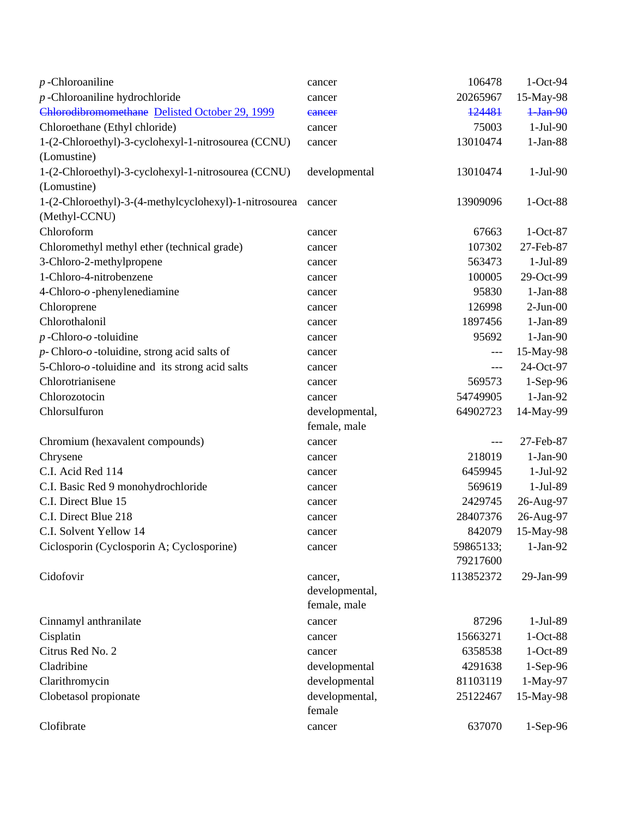| $p$ -Chloroaniline                                                 | cancer                   | 106478    | 1-Oct-94   |
|--------------------------------------------------------------------|--------------------------|-----------|------------|
| $p$ -Chloroaniline hydrochloride                                   | cancer                   | 20265967  | 15-May-98  |
| Chlorodibromomethane Delisted October 29, 1999                     | eancer                   | 124481    | $1-Jan-90$ |
| Chloroethane (Ethyl chloride)                                      | cancer                   | 75003     | $1-Jul-90$ |
| 1-(2-Chloroethyl)-3-cyclohexyl-1-nitrosourea (CCNU)                | cancer                   | 13010474  | $1-Jan-88$ |
| (Lomustine)                                                        |                          |           |            |
| 1-(2-Chloroethyl)-3-cyclohexyl-1-nitrosourea (CCNU)<br>(Lomustine) | developmental            | 13010474  | $1-Jul-90$ |
| 1-(2-Chloroethyl)-3-(4-methylcyclohexyl)-1-nitrosourea             | cancer                   | 13909096  | $1-Oct-88$ |
| (Methyl-CCNU)                                                      |                          |           |            |
| Chloroform                                                         | cancer                   | 67663     | $1-Oct-87$ |
| Chloromethyl methyl ether (technical grade)                        | cancer                   | 107302    | 27-Feb-87  |
| 3-Chloro-2-methylpropene                                           | cancer                   | 563473    | 1-Jul-89   |
| 1-Chloro-4-nitrobenzene                                            | cancer                   | 100005    | 29-Oct-99  |
| 4-Chloro- $o$ -phenylenediamine                                    | cancer                   | 95830     | $1-Jan-88$ |
| Chloroprene                                                        | cancer                   | 126998    | $2-Jun-00$ |
| Chlorothalonil                                                     | cancer                   | 1897456   | 1-Jan-89   |
| $p$ -Chloro- $o$ -toluidine                                        | cancer                   | 95692     | $1-Jan-90$ |
| $p$ -Chloro- $o$ -toluidine, strong acid salts of                  | cancer                   | $---$     | 15-May-98  |
| 5-Chloro- $o$ -toluidine and its strong acid salts                 | cancer                   | $---$     | 24-Oct-97  |
| Chlorotrianisene                                                   | cancer                   | 569573    | $1-Sep-96$ |
| Chlorozotocin                                                      | cancer                   | 54749905  | $1-Jan-92$ |
| Chlorsulfuron                                                      | developmental,           | 64902723  | 14-May-99  |
|                                                                    | female, male             |           |            |
| Chromium (hexavalent compounds)                                    | cancer                   | $---$     | 27-Feb-87  |
| Chrysene                                                           | cancer                   | 218019    | $1-Jan-90$ |
| C.I. Acid Red 114                                                  | cancer                   | 6459945   | 1-Jul-92   |
| C.I. Basic Red 9 monohydrochloride                                 | cancer                   | 569619    | 1-Jul-89   |
| C.I. Direct Blue 15                                                | cancer                   | 2429745   | 26-Aug-97  |
| C.I. Direct Blue 218                                               | cancer                   | 28407376  | 26-Aug-97  |
| C.I. Solvent Yellow 14                                             | cancer                   | 842079    | 15-May-98  |
| Ciclosporin (Cyclosporin A; Cyclosporine)                          | cancer                   | 59865133; | $1-Jan-92$ |
|                                                                    |                          | 79217600  |            |
| Cidofovir                                                          | cancer,                  | 113852372 | 29-Jan-99  |
|                                                                    | developmental,           |           |            |
|                                                                    | female, male             |           |            |
| Cinnamyl anthranilate                                              | cancer                   | 87296     | 1-Jul-89   |
| Cisplatin                                                          | cancer                   | 15663271  | $1-Oct-88$ |
| Citrus Red No. 2                                                   | cancer                   | 6358538   | 1-Oct-89   |
| Cladribine                                                         | developmental            | 4291638   | $1-Sep-96$ |
| Clarithromycin                                                     | developmental            | 81103119  | 1-May-97   |
| Clobetasol propionate                                              | developmental,<br>female | 25122467  | 15-May-98  |
| Clofibrate                                                         | cancer                   | 637070    | 1-Sep-96   |
|                                                                    |                          |           |            |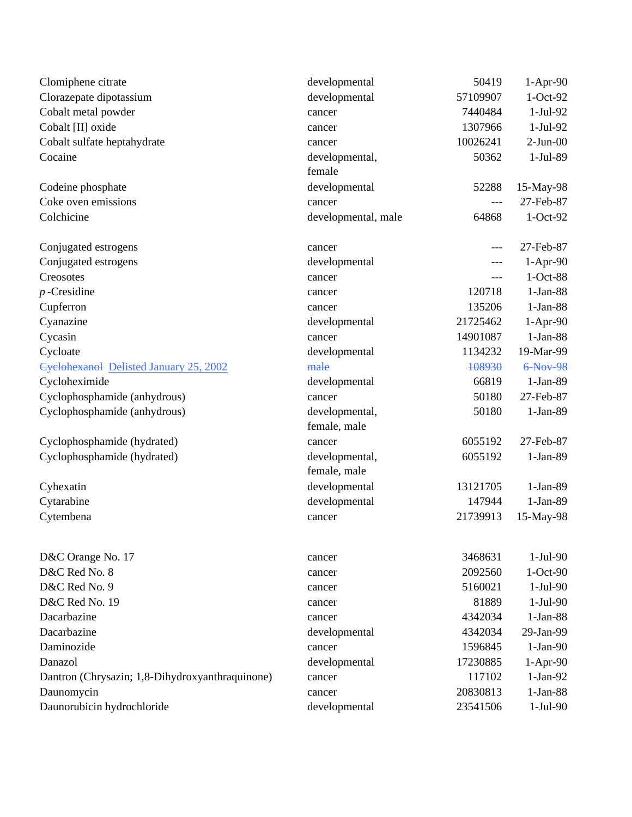| Clomiphene citrate                              | developmental                  | 50419    | $1-Apr-90$ |
|-------------------------------------------------|--------------------------------|----------|------------|
| Clorazepate dipotassium                         | developmental                  | 57109907 | $1-Oct-92$ |
| Cobalt metal powder                             | cancer                         | 7440484  | $1-Jul-92$ |
| Cobalt [II] oxide                               | cancer                         | 1307966  | $1-Jul-92$ |
| Cobalt sulfate heptahydrate                     | cancer                         | 10026241 | $2-Jun-00$ |
| Cocaine                                         | developmental,<br>female       | 50362    | 1-Jul-89   |
| Codeine phosphate                               | developmental                  | 52288    | 15-May-98  |
| Coke oven emissions                             | cancer                         | ---      | 27-Feb-87  |
| Colchicine                                      | developmental, male            | 64868    | $1-Oct-92$ |
| Conjugated estrogens                            | cancer                         | $---$    | 27-Feb-87  |
| Conjugated estrogens                            | developmental                  | ---      | $1-Apr-90$ |
| Creosotes                                       | cancer                         | ---      | $1-Oct-88$ |
| $p$ -Cresidine                                  | cancer                         | 120718   | $1-Jan-88$ |
| Cupferron                                       | cancer                         | 135206   | $1-Jan-88$ |
| Cyanazine                                       | developmental                  | 21725462 | $1-Apr-90$ |
| Cycasin                                         | cancer                         | 14901087 | $1-Jan-88$ |
| Cycloate                                        | developmental                  | 1134232  | 19-Mar-99  |
| Cyclohexanol Delisted January 25, 2002          | male                           | 108930   | 6-Nov-98   |
| Cycloheximide                                   | developmental                  | 66819    | $1-Jan-89$ |
| Cyclophosphamide (anhydrous)                    | cancer                         | 50180    | 27-Feb-87  |
| Cyclophosphamide (anhydrous)                    | developmental,<br>female, male | 50180    | $1-Jan-89$ |
| Cyclophosphamide (hydrated)                     | cancer                         | 6055192  | 27-Feb-87  |
| Cyclophosphamide (hydrated)                     | developmental,<br>female, male | 6055192  | 1-Jan-89   |
| Cyhexatin                                       | developmental                  | 13121705 | $1-Jan-89$ |
| Cytarabine                                      | developmental                  | 147944   | $1-Jan-89$ |
| Cytembena                                       | cancer                         | 21739913 | 15-May-98  |
| D&C Orange No. 17                               | cancer                         | 3468631  | $1-Jul-90$ |
| D&C Red No. 8                                   | cancer                         | 2092560  | $1-Oct-90$ |
| D&C Red No. 9                                   | cancer                         | 5160021  | $1-Jul-90$ |
| D&C Red No. 19                                  | cancer                         | 81889    | $1-Jul-90$ |
| Dacarbazine                                     | cancer                         | 4342034  | $1-Jan-88$ |
| Dacarbazine                                     | developmental                  | 4342034  | 29-Jan-99  |
| Daminozide                                      | cancer                         | 1596845  | $1-Jan-90$ |
| Danazol                                         | developmental                  | 17230885 | $1-Apr-90$ |
| Dantron (Chrysazin; 1,8-Dihydroxyanthraquinone) | cancer                         | 117102   | $1-Jan-92$ |
| Daunomycin                                      | cancer                         | 20830813 | $1-Jan-88$ |
| Daunorubicin hydrochloride                      | developmental                  | 23541506 | $1-Jul-90$ |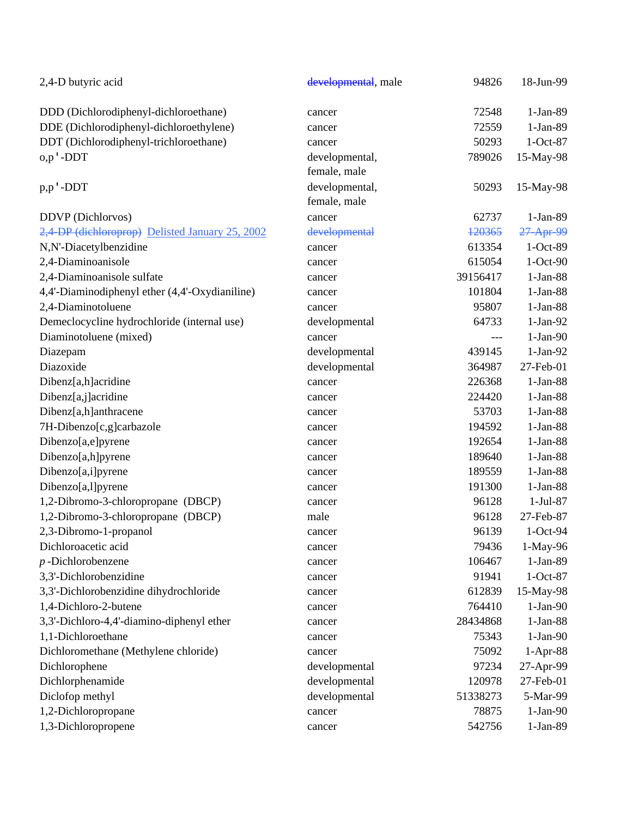| 2,4-D butyric acid                              | developmental, male | 94826    | 18-Jun-99  |
|-------------------------------------------------|---------------------|----------|------------|
| DDD (Dichlorodiphenyl-dichloroethane)           | cancer              | 72548    | 1-Jan-89   |
| DDE (Dichlorodiphenyl-dichloroethylene)         | cancer              | 72559    | 1-Jan-89   |
| DDT (Dichlorodiphenyl-trichloroethane)          | cancer              | 50293    | $1-Oct-87$ |
| $o, p \nvert$ -DDT                              | developmental,      | 789026   | 15-May-98  |
|                                                 | female, male        |          |            |
| p,p'-DDT                                        | developmental,      | 50293    | 15-May-98  |
|                                                 | female, male        |          |            |
| DDVP (Dichlorvos)                               | cancer              | 62737    | $1-Jan-89$ |
| 2,4 DP (dichloroprop) Delisted January 25, 2002 | developmental       | 120365   | 27 Apr 99  |
| N,N'-Diacetylbenzidine                          | cancer              | 613354   | 1-Oct-89   |
| 2,4-Diaminoanisole                              | cancer              | 615054   | 1-Oct-90   |
| 2,4-Diaminoanisole sulfate                      | cancer              | 39156417 | $1-Jan-88$ |
| 4,4'-Diaminodiphenyl ether (4,4'-Oxydianiline)  | cancer              | 101804   | $1-Jan-88$ |
| 2,4-Diaminotoluene                              | cancer              | 95807    | $1-Jan-88$ |
| Demeclocycline hydrochloride (internal use)     | developmental       | 64733    | $1-Jan-92$ |
| Diaminotoluene (mixed)                          | cancer              | ---      | $1-Jan-90$ |
| Diazepam                                        | developmental       | 439145   | $1-Jan-92$ |
| Diazoxide                                       | developmental       | 364987   | 27-Feb-01  |
| Dibenz[a,h]acridine                             | cancer              | 226368   | $1-Jan-88$ |
| Dibenz[a,j]acridine                             | cancer              | 224420   | $1-Jan-88$ |
| Dibenz[a,h]anthracene                           | cancer              | 53703    | $1-Jan-88$ |
| 7H-Dibenzo[c,g]carbazole                        | cancer              | 194592   | $1-Jan-88$ |
| Dibenzo[a,e]pyrene                              | cancer              | 192654   | $1-Jan-88$ |
| Dibenzo[a,h]pyrene                              | cancer              | 189640   | $1-Jan-88$ |
| Dibenzo[a,i]pyrene                              | cancer              | 189559   | $1-Jan-88$ |
| Dibenzo[a,l]pyrene                              | cancer              | 191300   | $1-Jan-88$ |
| 1,2-Dibromo-3-chloropropane (DBCP)              | cancer              | 96128    | $1-Jul-87$ |
| 1,2-Dibromo-3-chloropropane (DBCP)              | male                | 96128    | 27-Feb-87  |
| 2,3-Dibromo-1-propanol                          | cancer              | 96139    | $1-Oct-94$ |
| Dichloroacetic acid                             | cancer              | 79436    | 1-May-96   |
| $p$ -Dichlorobenzene                            | cancer              | 106467   | 1-Jan-89   |
| 3,3'-Dichlorobenzidine                          | cancer              | 91941    | $1-Oct-87$ |
| 3,3'-Dichlorobenzidine dihydrochloride          | cancer              | 612839   | 15-May-98  |
| 1,4-Dichloro-2-butene                           | cancer              | 764410   | $1-Jan-90$ |
| 3,3'-Dichloro-4,4'-diamino-diphenyl ether       | cancer              | 28434868 | $1-Jan-88$ |
| 1,1-Dichloroethane                              | cancer              | 75343    | $1-Jan-90$ |
| Dichloromethane (Methylene chloride)            | cancer              | 75092    | $1-Apr-88$ |
| Dichlorophene                                   | developmental       | 97234    | 27-Apr-99  |
| Dichlorphenamide                                | developmental       | 120978   | 27-Feb-01  |
| Diclofop methyl                                 | developmental       | 51338273 | 5-Mar-99   |
| 1,2-Dichloropropane                             | cancer              | 78875    | $1-Jan-90$ |
| 1,3-Dichloropropene                             | cancer              | 542756   | 1-Jan-89   |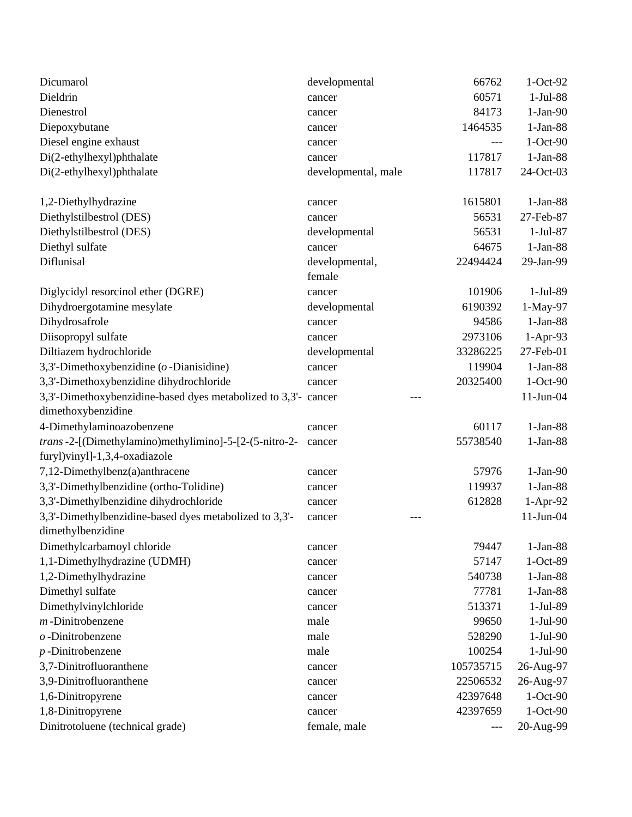| Dicumarol                                                                   | developmental       | 66762     | $1-Oct-92$ |
|-----------------------------------------------------------------------------|---------------------|-----------|------------|
| Dieldrin                                                                    | cancer              | 60571     | 1-Jul-88   |
| Dienestrol                                                                  | cancer              | 84173     | $1-Jan-90$ |
| Diepoxybutane                                                               | cancer              | 1464535   | $1-Jan-88$ |
| Diesel engine exhaust                                                       | cancer              |           | $1-Oct-90$ |
| Di(2-ethylhexyl)phthalate                                                   | cancer              | 117817    | $1-Jan-88$ |
| Di(2-ethylhexyl)phthalate                                                   | developmental, male | 117817    | 24-Oct-03  |
| 1,2-Diethylhydrazine                                                        | cancer              | 1615801   | $1-Jan-88$ |
| Diethylstilbestrol (DES)                                                    | cancer              | 56531     | 27-Feb-87  |
| Diethylstilbestrol (DES)                                                    | developmental       | 56531     | $1-Jul-87$ |
| Diethyl sulfate                                                             | cancer              | 64675     | $1-Jan-88$ |
| Diflunisal                                                                  | developmental,      | 22494424  | 29-Jan-99  |
|                                                                             | female              |           |            |
| Diglycidyl resorcinol ether (DGRE)                                          | cancer              | 101906    | 1-Jul-89   |
| Dihydroergotamine mesylate                                                  | developmental       | 6190392   | 1-May-97   |
| Dihydrosafrole                                                              | cancer              | 94586     | $1-Jan-88$ |
| Diisopropyl sulfate                                                         | cancer              | 2973106   | 1-Apr-93   |
| Diltiazem hydrochloride                                                     | developmental       | 33286225  | 27-Feb-01  |
| 3,3'-Dimethoxybenzidine ( $o$ -Dianisidine)                                 | cancer              | 119904    | $1-Jan-88$ |
| 3,3'-Dimethoxybenzidine dihydrochloride                                     | cancer              | 20325400  | 1-Oct-90   |
| 3,3'-Dimethoxybenzidine-based dyes metabolized to 3,3'- cancer              |                     |           | 11-Jun-04  |
| dimethoxybenzidine                                                          |                     |           |            |
| 4-Dimethylaminoazobenzene                                                   | cancer              | 60117     | $1-Jan-88$ |
| trans-2-[(Dimethylamino)methylimino]-5-[2-(5-nitro-2-                       | cancer              | 55738540  | $1-Jan-88$ |
| furyl)vinyl]-1,3,4-oxadiazole                                               |                     |           |            |
| 7,12-Dimethylbenz(a)anthracene                                              | cancer              | 57976     | $1-Jan-90$ |
| 3,3'-Dimethylbenzidine (ortho-Tolidine)                                     | cancer              | 119937    | $1-Jan-88$ |
| 3,3'-Dimethylbenzidine dihydrochloride                                      | cancer              | 612828    | 1-Apr-92   |
| 3,3'-Dimethylbenzidine-based dyes metabolized to 3,3'-<br>dimethylbenzidine | cancer              |           | 11-Jun-04  |
| Dimethylcarbamoyl chloride                                                  | cancer              | 79447     | $1-Jan-88$ |
| 1,1-Dimethylhydrazine (UDMH)                                                | cancer              | 57147     | 1-Oct-89   |
| 1,2-Dimethylhydrazine                                                       | cancer              | 540738    | $1-Jan-88$ |
| Dimethyl sulfate                                                            | cancer              | 77781     | $1-Jan-88$ |
| Dimethylvinylchloride                                                       | cancer              | 513371    | 1-Jul-89   |
| $m$ -Dinitrobenzene                                                         | male                | 99650     | $1-Jul-90$ |
| $o$ -Dinitrobenzene                                                         | male                | 528290    | $1-Jul-90$ |
| $p$ -Dinitrobenzene                                                         | male                | 100254    | $1-Jul-90$ |
| 3,7-Dinitrofluoranthene                                                     | cancer              | 105735715 | 26-Aug-97  |
| 3,9-Dinitrofluoranthene                                                     | cancer              | 22506532  | 26-Aug-97  |
| 1,6-Dinitropyrene                                                           | cancer              | 42397648  | 1-Oct-90   |
| 1,8-Dinitropyrene                                                           | cancer              | 42397659  | $1-Oct-90$ |
| Dinitrotoluene (technical grade)                                            | female, male        | $---$     | 20-Aug-99  |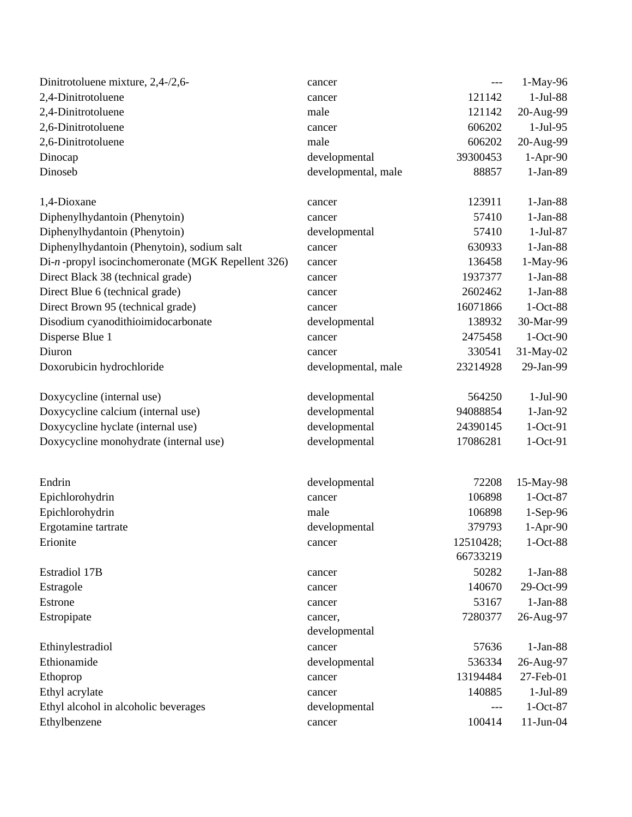| Dinitrotoluene mixture, 2,4-/2,6-                 | cancer              | ---       | 1-May-96     |
|---------------------------------------------------|---------------------|-----------|--------------|
| 2,4-Dinitrotoluene                                | cancer              | 121142    | $1-Jul-88$   |
| 2,4-Dinitrotoluene                                | male                | 121142    | 20-Aug-99    |
| 2,6-Dinitrotoluene                                | cancer              | 606202    | $1-Jul-95$   |
| 2,6-Dinitrotoluene                                | male                | 606202    | 20-Aug-99    |
| Dinocap                                           | developmental       | 39300453  | $1-Apr-90$   |
| Dinoseb                                           | developmental, male | 88857     | $1-Jan-89$   |
| 1,4-Dioxane                                       | cancer              | 123911    | $1-Jan-88$   |
| Diphenylhydantoin (Phenytoin)                     | cancer              | 57410     | $1-Jan-88$   |
| Diphenylhydantoin (Phenytoin)                     | developmental       | 57410     | $1-Jul-87$   |
| Diphenylhydantoin (Phenytoin), sodium salt        | cancer              | 630933    | $1-Jan-88$   |
| Di-n-propyl isocinchomeronate (MGK Repellent 326) | cancer              | 136458    | 1-May-96     |
| Direct Black 38 (technical grade)                 | cancer              | 1937377   | $1-Jan-88$   |
| Direct Blue 6 (technical grade)                   | cancer              | 2602462   | $1-Jan-88$   |
| Direct Brown 95 (technical grade)                 | cancer              | 16071866  | $1-Oct-88$   |
| Disodium cyanodithioimidocarbonate                | developmental       | 138932    | 30-Mar-99    |
| Disperse Blue 1                                   | cancer              | 2475458   | $1-Oct-90$   |
| Diuron                                            | cancer              | 330541    | 31-May-02    |
| Doxorubicin hydrochloride                         | developmental, male | 23214928  | 29-Jan-99    |
| Doxycycline (internal use)                        | developmental       | 564250    | $1-Jul-90$   |
| Doxycycline calcium (internal use)                | developmental       | 94088854  | $1-Jan-92$   |
| Doxycycline hyclate (internal use)                | developmental       | 24390145  | 1-Oct-91     |
| Doxycycline monohydrate (internal use)            | developmental       | 17086281  | $1-Oct-91$   |
| Endrin                                            | developmental       | 72208     | 15-May-98    |
| Epichlorohydrin                                   | cancer              | 106898    | $1-Oct-87$   |
| Epichlorohydrin                                   | male                | 106898    | $1-Sep-96$   |
| Ergotamine tartrate                               | developmental       | 379793    | 1-Apr-90     |
| Erionite                                          | cancer              | 12510428; | $1-Oct-88$   |
|                                                   |                     | 66733219  |              |
| <b>Estradiol 17B</b>                              | cancer              | 50282     | $1-Jan-88$   |
| Estragole                                         | cancer              | 140670    | 29-Oct-99    |
| Estrone                                           | cancer              | 53167     | $1-Jan-88$   |
| Estropipate                                       | cancer,             | 7280377   | 26-Aug-97    |
|                                                   | developmental       |           |              |
| Ethinylestradiol                                  | cancer              | 57636     | $1-Jan-88$   |
| Ethionamide                                       | developmental       | 536334    | 26-Aug-97    |
| Ethoprop                                          | cancer              | 13194484  | 27-Feb-01    |
| Ethyl acrylate                                    | cancer              | 140885    | $1-Jul-89$   |
| Ethyl alcohol in alcoholic beverages              | developmental       | ---       | $1-Oct-87$   |
| Ethylbenzene                                      | cancer              | 100414    | $11$ -Jun-04 |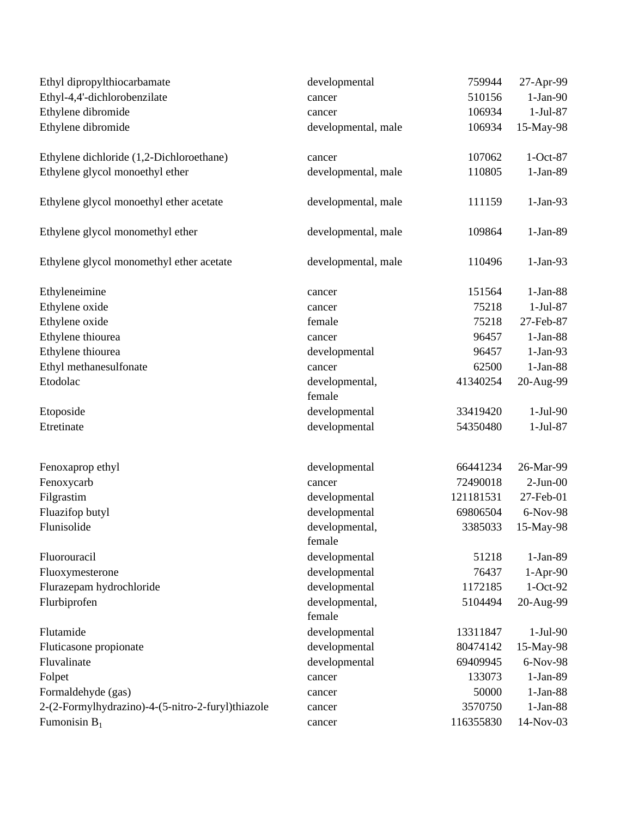| Ethyl dipropylthiocarbamate                       | developmental            | 759944    | 27-Apr-99  |
|---------------------------------------------------|--------------------------|-----------|------------|
| Ethyl-4,4'-dichlorobenzilate                      | cancer                   | 510156    | $1-Jan-90$ |
| Ethylene dibromide                                | cancer                   | 106934    | $1-Jul-87$ |
| Ethylene dibromide                                | developmental, male      | 106934    | 15-May-98  |
| Ethylene dichloride (1,2-Dichloroethane)          | cancer                   | 107062    | $1-Oct-87$ |
| Ethylene glycol monoethyl ether                   | developmental, male      | 110805    | $1-Jan-89$ |
| Ethylene glycol monoethyl ether acetate           | developmental, male      | 111159    | $1-Jan-93$ |
| Ethylene glycol monomethyl ether                  | developmental, male      | 109864    | $1-Jan-89$ |
| Ethylene glycol monomethyl ether acetate          | developmental, male      | 110496    | $1-Jan-93$ |
| Ethyleneimine                                     | cancer                   | 151564    | $1-Jan-88$ |
| Ethylene oxide                                    | cancer                   | 75218     | $1-Jul-87$ |
| Ethylene oxide                                    | female                   | 75218     | 27-Feb-87  |
| Ethylene thiourea                                 | cancer                   | 96457     | $1-Jan-88$ |
| Ethylene thiourea                                 | developmental            | 96457     | $1-Jan-93$ |
| Ethyl methanesulfonate                            | cancer                   | 62500     | $1-Jan-88$ |
| Etodolac                                          | developmental,<br>female | 41340254  | 20-Aug-99  |
| Etoposide                                         | developmental            | 33419420  | $1-Jul-90$ |
| Etretinate                                        | developmental            | 54350480  | $1-Jul-87$ |
| Fenoxaprop ethyl                                  | developmental            | 66441234  | 26-Mar-99  |
| Fenoxycarb                                        | cancer                   | 72490018  | $2-Jun-00$ |
| Filgrastim                                        | developmental            | 121181531 | 27-Feb-01  |
| Fluazifop butyl                                   | developmental            | 69806504  | 6-Nov-98   |
| Flunisolide                                       | developmental,<br>female | 3385033   | 15-May-98  |
| Fluorouracil                                      | developmental            | 51218     | $1-Jan-89$ |
| Fluoxymesterone                                   | developmental            | 76437     | $1-Apr-90$ |
| Flurazepam hydrochloride                          | developmental            | 1172185   | $1-Oct-92$ |
| Flurbiprofen                                      | developmental,<br>female | 5104494   | 20-Aug-99  |
| Flutamide                                         | developmental            | 13311847  | $1-Jul-90$ |
| Fluticasone propionate                            | developmental            | 80474142  | 15-May-98  |
| Fluvalinate                                       | developmental            | 69409945  | 6-Nov-98   |
| Folpet                                            | cancer                   | 133073    | $1-Jan-89$ |
| Formaldehyde (gas)                                | cancer                   | 50000     | $1-Jan-88$ |
| 2-(2-Formylhydrazino)-4-(5-nitro-2-furyl)thiazole | cancer                   | 3570750   | $1-Jan-88$ |
| Fumonisin $B_1$                                   | cancer                   | 116355830 | 14-Nov-03  |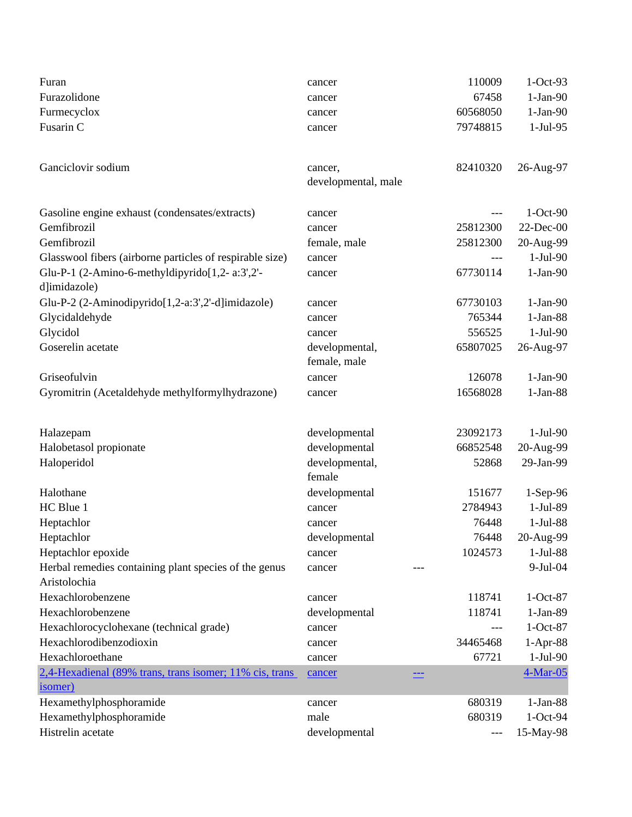| Furan                                                                 | cancer                   | 110009   | $1-Oct-93$   |
|-----------------------------------------------------------------------|--------------------------|----------|--------------|
| Furazolidone                                                          | cancer                   | 67458    | $1-Jan-90$   |
| Furmecyclox                                                           | cancer                   | 60568050 | $1-Jan-90$   |
| Fusarin C                                                             | cancer                   | 79748815 | $1-Jul-95$   |
| Ganciclovir sodium                                                    | cancer,                  | 82410320 | 26-Aug-97    |
|                                                                       | developmental, male      |          |              |
| Gasoline engine exhaust (condensates/extracts)                        | cancer                   | ---      | $1-Oct-90$   |
| Gemfibrozil                                                           | cancer                   | 25812300 | $22$ -Dec-00 |
| Gemfibrozil                                                           | female, male             | 25812300 | 20-Aug-99    |
| Glasswool fibers (airborne particles of respirable size)              | cancer                   | ---      | $1-Jul-90$   |
| Glu-P-1 (2-Amino-6-methyldipyrido[1,2- a:3',2'-<br>d]imidazole)       | cancer                   | 67730114 | $1-Jan-90$   |
| Glu-P-2 (2-Aminodipyrido[1,2-a:3',2'-d]imidazole)                     | cancer                   | 67730103 | $1-Jan-90$   |
| Glycidaldehyde                                                        | cancer                   | 765344   | $1-Jan-88$   |
| Glycidol                                                              | cancer                   | 556525   | $1-Jul-90$   |
| Goserelin acetate                                                     | developmental,           | 65807025 | 26-Aug-97    |
|                                                                       | female, male             |          |              |
| Griseofulvin                                                          | cancer                   | 126078   | $1-Jan-90$   |
| Gyromitrin (Acetaldehyde methylformylhydrazone)                       | cancer                   | 16568028 | $1-Jan-88$   |
| Halazepam                                                             | developmental            | 23092173 | $1-Jul-90$   |
| Halobetasol propionate                                                | developmental            | 66852548 | 20-Aug-99    |
| Haloperidol                                                           | developmental,<br>female | 52868    | 29-Jan-99    |
| Halothane                                                             | developmental            | 151677   | $1-Sep-96$   |
| HC Blue 1                                                             | cancer                   | 2784943  | 1-Jul-89     |
| Heptachlor                                                            | cancer                   | 76448    | $1-Jul-88$   |
| Heptachlor                                                            | developmental            | 76448    | 20-Aug-99    |
| Heptachlor epoxide                                                    | cancer                   | 1024573  | $1-Jul-88$   |
| Herbal remedies containing plant species of the genus<br>Aristolochia | cancer                   |          | $9-Jul-04$   |
| Hexachlorobenzene                                                     | cancer                   | 118741   | $1-Oct-87$   |
| Hexachlorobenzene                                                     | developmental            | 118741   | $1-Jan-89$   |
| Hexachlorocyclohexane (technical grade)                               | cancer                   | ---      | $1-Oct-87$   |
| Hexachlorodibenzodioxin                                               | cancer                   | 34465468 | $1-Apr-88$   |
| Hexachloroethane                                                      | cancer                   | 67721    | $1-Jul-90$   |
| 2,4-Hexadienal (89% trans, trans isomer; 11% cis, trans<br>isomer)    | cancer                   |          | $4-Mar-05$   |
| Hexamethylphosphoramide                                               | cancer                   | 680319   | $1-Jan-88$   |
| Hexamethylphosphoramide                                               | male                     | 680319   | $1-Oct-94$   |
| Histrelin acetate                                                     | developmental            | $---$    | 15-May-98    |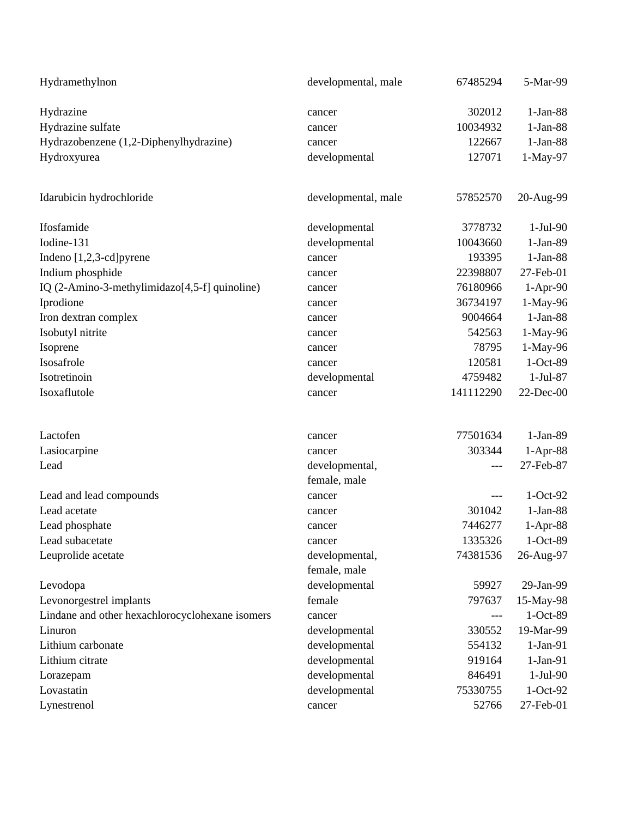| Hydramethylnon                                  | developmental, male | 67485294  | 5-Mar-99   |
|-------------------------------------------------|---------------------|-----------|------------|
| Hydrazine                                       | cancer              | 302012    | $1-Jan-88$ |
| Hydrazine sulfate                               | cancer              | 10034932  | $1-Jan-88$ |
| Hydrazobenzene (1,2-Diphenylhydrazine)          | cancer              | 122667    | $1-Jan-88$ |
| Hydroxyurea                                     | developmental       | 127071    | 1-May-97   |
| Idarubicin hydrochloride                        | developmental, male | 57852570  | 20-Aug-99  |
| Ifosfamide                                      | developmental       | 3778732   | $1-Jul-90$ |
| Iodine-131                                      | developmental       | 10043660  | $1-Jan-89$ |
| Indeno $[1,2,3$ -cd]pyrene                      | cancer              | 193395    | $1-Jan-88$ |
| Indium phosphide                                | cancer              | 22398807  | 27-Feb-01  |
| IQ (2-Amino-3-methylimidazo[4,5-f] quinoline)   | cancer              | 76180966  | $1-Apr-90$ |
| Iprodione                                       | cancer              | 36734197  | 1-May-96   |
| Iron dextran complex                            | cancer              | 9004664   | $1-Jan-88$ |
| Isobutyl nitrite                                | cancer              | 542563    | 1-May-96   |
| Isoprene                                        | cancer              | 78795     | 1-May-96   |
| Isosafrole                                      | cancer              | 120581    | 1-Oct-89   |
| Isotretinoin                                    | developmental       | 4759482   | $1-Jul-87$ |
| Isoxaflutole                                    | cancer              | 141112290 | 22-Dec-00  |
| Lactofen                                        | cancer              | 77501634  | $1-Jan-89$ |
| Lasiocarpine                                    | cancer              | 303344    | $1-Apr-88$ |
| Lead                                            | developmental,      | $---$     | 27-Feb-87  |
|                                                 | female, male        |           |            |
| Lead and lead compounds                         | cancer              | ---       | $1-Oct-92$ |
| Lead acetate                                    | cancer              | 301042    | $1-Jan-88$ |
| Lead phosphate                                  | cancer              | 7446277   | $1-Apr-88$ |
| Lead subacetate                                 | cancer              | 1335326   | $1-Oct-89$ |
| Leuprolide acetate                              | developmental,      | 74381536  | 26-Aug-97  |
|                                                 | female, male        |           |            |
| Levodopa                                        | developmental       | 59927     | 29-Jan-99  |
| Levonorgestrel implants                         | female              | 797637    | 15-May-98  |
| Lindane and other hexachlorocyclohexane isomers | cancer              | ---       | 1-Oct-89   |
| Linuron                                         | developmental       | 330552    | 19-Mar-99  |
| Lithium carbonate                               | developmental       | 554132    | $1-Jan-91$ |
| Lithium citrate                                 | developmental       | 919164    | $1-Jan-91$ |
| Lorazepam                                       | developmental       | 846491    | $1-Jul-90$ |
| Lovastatin                                      | developmental       | 75330755  | $1-Oct-92$ |
| Lynestrenol                                     | cancer              | 52766     | 27-Feb-01  |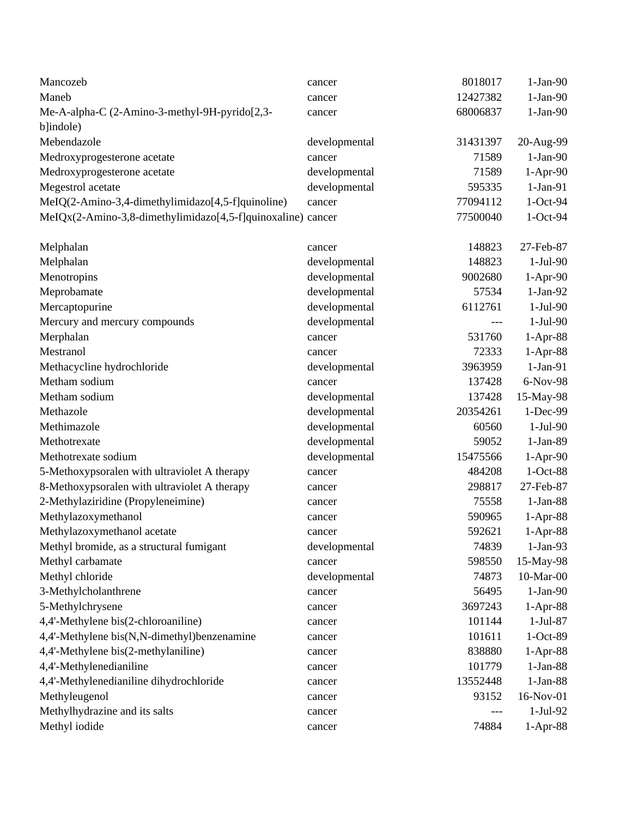| Mancozeb                                                    | cancer                  | 8018017       | $1-Jan-90$ |
|-------------------------------------------------------------|-------------------------|---------------|------------|
| Maneb                                                       | cancer                  | 12427382      | $1-Jan-90$ |
| Me-A-alpha-C (2-Amino-3-methyl-9H-pyrido[2,3-               | cancer                  | 68006837      | $1-Jan-90$ |
| b]indole)                                                   |                         |               |            |
| Mebendazole                                                 | developmental           | 31431397      | 20-Aug-99  |
| Medroxyprogesterone acetate                                 | cancer                  | 71589         | $1-Jan-90$ |
| Medroxyprogesterone acetate                                 | developmental           | 71589         | 1-Apr-90   |
| Megestrol acetate                                           | developmental           | 595335        | $1-Jan-91$ |
| MeIQ(2-Amino-3,4-dimethylimidazo[4,5-f]quinoline)           | cancer                  | 77094112      | $1-Oct-94$ |
| MeIQx(2-Amino-3,8-dimethylimidazo[4,5-f]quinoxaline) cancer |                         | 77500040      | $1-Oct-94$ |
|                                                             |                         | 148823        | 27-Feb-87  |
| Melphalan                                                   | cancer                  | 148823        | $1-Jul-90$ |
| Melphalan<br>Menotropins                                    | developmental           | 9002680       | $1-Apr-90$ |
|                                                             | developmental           | 57534         | $1-Jan-92$ |
| Meprobamate<br>Mercaptopurine                               | developmental           | 6112761       | $1-Jul-90$ |
|                                                             | developmental           |               | $1-Jul-90$ |
| Mercury and mercury compounds                               | developmental<br>cancer | ---<br>531760 |            |
| Merphalan<br>Mestranol                                      |                         |               | $1-Apr-88$ |
|                                                             | cancer                  | 72333         | $1-Apr-88$ |
| Methacycline hydrochloride                                  | developmental           | 3963959       | $1-Jan-91$ |
| Metham sodium                                               | cancer                  | 137428        | 6-Nov-98   |
| Metham sodium                                               | developmental           | 137428        | 15-May-98  |
| Methazole                                                   | developmental           | 20354261      | 1-Dec-99   |
| Methimazole                                                 | developmental           | 60560         | $1-Jul-90$ |
| Methotrexate                                                | developmental           | 59052         | $1-Jan-89$ |
| Methotrexate sodium                                         | developmental           | 15475566      | $1-Apr-90$ |
| 5-Methoxypsoralen with ultraviolet A therapy                | cancer                  | 484208        | $1-Oct-88$ |
| 8-Methoxypsoralen with ultraviolet A therapy                | cancer                  | 298817        | 27-Feb-87  |
| 2-Methylaziridine (Propyleneimine)                          | cancer                  | 75558         | $1-Jan-88$ |
| Methylazoxymethanol                                         | cancer                  | 590965        | $1-Apr-88$ |
| Methylazoxymethanol acetate                                 | cancer                  | 592621        | $1-Apr-88$ |
| Methyl bromide, as a structural fumigant                    | developmental           | 74839         | $1-Jan-93$ |
| Methyl carbamate                                            | cancer                  | 598550        | 15-May-98  |
| Methyl chloride                                             | developmental           | 74873         | 10-Mar-00  |
| 3-Methylcholanthrene                                        | cancer                  | 56495         | $1-Jan-90$ |
| 5-Methylchrysene                                            | cancer                  | 3697243       | $1-Apr-88$ |
| 4,4'-Methylene bis(2-chloroaniline)                         | cancer                  | 101144        | $1-Jul-87$ |
| 4,4'-Methylene bis(N,N-dimethyl)benzenamine                 | cancer                  | 101611        | 1-Oct-89   |
| 4,4'-Methylene bis(2-methylaniline)                         | cancer                  | 838880        | $1-Apr-88$ |
| 4,4'-Methylenedianiline                                     | cancer                  | 101779        | $1-Jan-88$ |
| 4,4'-Methylenedianiline dihydrochloride                     | cancer                  | 13552448      | $1-Jan-88$ |
| Methyleugenol                                               | cancer                  | 93152         | 16-Nov-01  |
| Methylhydrazine and its salts                               | cancer                  | ---           | $1-Jul-92$ |
| Methyl iodide                                               | cancer                  | 74884         | $1-Apr-88$ |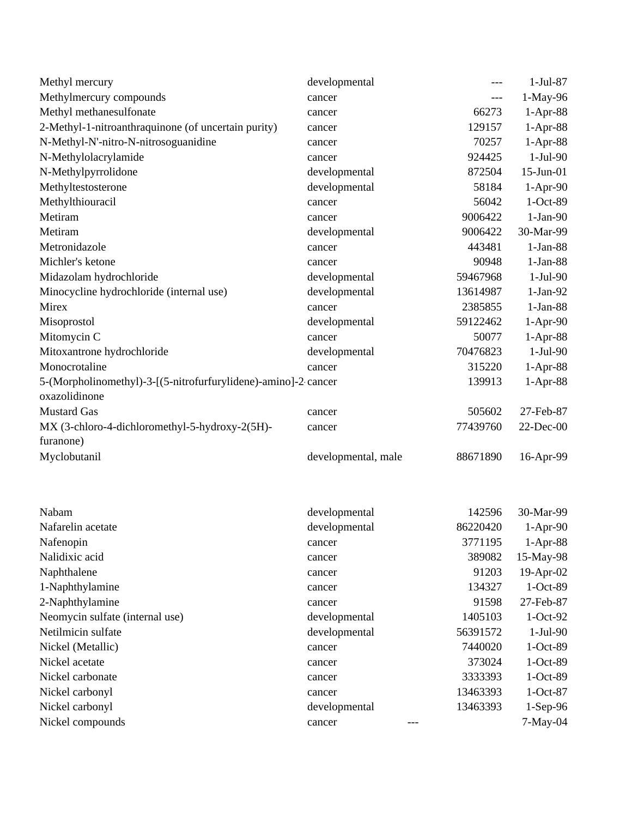| Methyl mercury                                                                  | developmental       |          | $1-Jul-87$ |
|---------------------------------------------------------------------------------|---------------------|----------|------------|
| Methylmercury compounds                                                         | cancer              | $---$    | 1-May-96   |
| Methyl methanesulfonate                                                         | cancer              | 66273    | 1-Apr-88   |
| 2-Methyl-1-nitroanthraquinone (of uncertain purity)                             | cancer              | 129157   | 1-Apr-88   |
| N-Methyl-N'-nitro-N-nitrosoguanidine                                            | cancer              | 70257    | 1-Apr-88   |
| N-Methylolacrylamide                                                            | cancer              | 924425   | $1-Jul-90$ |
| N-Methylpyrrolidone                                                             | developmental       | 872504   | 15-Jun-01  |
| Methyltestosterone                                                              | developmental       | 58184    | $1-Apr-90$ |
| Methylthiouracil                                                                | cancer              | 56042    | 1-Oct-89   |
| Metiram                                                                         | cancer              | 9006422  | $1-Jan-90$ |
| Metiram                                                                         | developmental       | 9006422  | 30-Mar-99  |
| Metronidazole                                                                   | cancer              | 443481   | $1-Jan-88$ |
| Michler's ketone                                                                | cancer              | 90948    | $1-Jan-88$ |
| Midazolam hydrochloride                                                         | developmental       | 59467968 | 1-Jul-90   |
| Minocycline hydrochloride (internal use)                                        | developmental       | 13614987 | $1-Jan-92$ |
| Mirex                                                                           | cancer              | 2385855  | $1-Jan-88$ |
| Misoprostol                                                                     | developmental       | 59122462 | $1-Apr-90$ |
| Mitomycin C                                                                     | cancer              | 50077    | $1-Apr-88$ |
| Mitoxantrone hydrochloride                                                      | developmental       | 70476823 | 1-Jul-90   |
| Monocrotaline                                                                   | cancer              | 315220   | $1-Apr-88$ |
| 5-(Morpholinomethyl)-3-[(5-nitrofurfurylidene)-amino]-2 cancer<br>oxazolidinone |                     | 139913   | $1-Apr-88$ |
| <b>Mustard Gas</b>                                                              | cancer              | 505602   | 27-Feb-87  |
| MX (3-chloro-4-dichloromethyl-5-hydroxy-2(5H)-                                  | cancer              | 77439760 | 22-Dec-00  |
| furanone)                                                                       |                     |          |            |
| Myclobutanil                                                                    | developmental, male | 88671890 | 16-Apr-99  |
| Nabam                                                                           | developmental       | 142596   | 30-Mar-99  |
| Nafarelin acetate                                                               | developmental       | 86220420 | $1-Apr-90$ |
| Nafenopin                                                                       | cancer              | 3771195  | $1-Apr-88$ |
| Nalidixic acid                                                                  | cancer              | 389082   | 15-May-98  |
| Naphthalene                                                                     | cancer              | 91203    | 19-Apr-02  |
| 1-Naphthylamine                                                                 | cancer              | 134327   | 1-Oct-89   |
| 2-Naphthylamine                                                                 | cancer              | 91598    | 27-Feb-87  |
| Neomycin sulfate (internal use)                                                 | developmental       | 1405103  | $1-Oct-92$ |
| Netilmicin sulfate                                                              | developmental       | 56391572 | $1-Jul-90$ |
| Nickel (Metallic)                                                               | cancer              | 7440020  | 1-Oct-89   |
| Nickel acetate                                                                  | cancer              | 373024   | 1-Oct-89   |
| Nickel carbonate                                                                | cancer              | 3333393  | 1-Oct-89   |
| Nickel carbonyl                                                                 | cancer              | 13463393 | $1-Oct-87$ |
| Nickel carbonyl                                                                 | developmental       | 13463393 | 1-Sep-96   |
| Nickel compounds                                                                | cancer              |          | $7-May-04$ |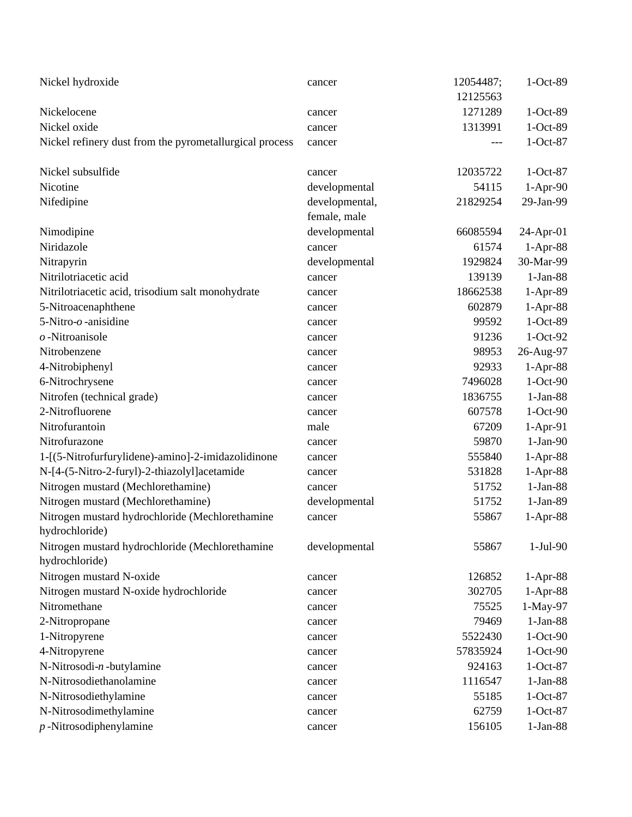| Nickel hydroxide                                                  | cancer           | 12054487;<br>12125563 | $1-Oct-89$       |
|-------------------------------------------------------------------|------------------|-----------------------|------------------|
| Nickelocene                                                       |                  | 1271289               | $1-Oct-89$       |
| Nickel oxide                                                      | cancer<br>cancer | 1313991               | $1-Oct-89$       |
|                                                                   |                  |                       | $1-Oct-87$       |
| Nickel refinery dust from the pyrometallurgical process           | cancer           | ---                   |                  |
| Nickel subsulfide                                                 | cancer           | 12035722              | $1-Oct-87$       |
| Nicotine                                                          | developmental    | 54115                 | $1-Apr-90$       |
| Nifedipine                                                        | developmental,   | 21829254              | 29-Jan-99        |
|                                                                   | female, male     |                       |                  |
| Nimodipine                                                        | developmental    | 66085594              | $24$ -Apr-01     |
| Niridazole                                                        | cancer           | 61574                 | $1-Apr-88$       |
| Nitrapyrin                                                        | developmental    | 1929824               | 30-Mar-99        |
| Nitrilotriacetic acid                                             | cancer           | 139139                | $1-Jan-88$       |
| Nitrilotriacetic acid, trisodium salt monohydrate                 | cancer           | 18662538              | $1-Apr-89$       |
| 5-Nitroacenaphthene                                               | cancer           | 602879                | $1-Apr-88$       |
| 5-Nitro- $o$ -anisidine                                           | cancer           | 99592                 | $1-Oct-89$       |
| $o$ -Nitroanisole                                                 | cancer           | 91236                 | $1-Oct-92$       |
| Nitrobenzene                                                      | cancer           | 98953                 | 26-Aug-97        |
| 4-Nitrobiphenyl                                                   | cancer           | 92933                 | $1-Apr-88$       |
| 6-Nitrochrysene                                                   | cancer           | 7496028               | $1-Oct-90$       |
| Nitrofen (technical grade)                                        | cancer           | 1836755               | $1-Jan-88$       |
| 2-Nitrofluorene                                                   | cancer           | 607578                | $1-Oct-90$       |
| Nitrofurantoin                                                    | male             | 67209                 | $1-Apr-91$       |
| Nitrofurazone                                                     | cancer           | 59870                 | $1-Jan-90$       |
| 1-[(5-Nitrofurfurylidene)-amino]-2-imidazolidinone                | cancer           | 555840                | $1-Apr-88$       |
| N-[4-(5-Nitro-2-furyl)-2-thiazolyl]acetamide                      | cancer           | 531828                | $1-Apr-88$       |
| Nitrogen mustard (Mechlorethamine)                                | cancer           | 51752                 | $1-Jan-88$       |
| Nitrogen mustard (Mechlorethamine)                                | developmental    | 51752                 | $1-Jan-89$       |
| Nitrogen mustard hydrochloride (Mechlorethamine                   | cancer           | 55867                 | $1-Apr-88$       |
| hydrochloride)                                                    |                  |                       |                  |
| Nitrogen mustard hydrochloride (Mechlorethamine<br>hydrochloride) | developmental    | 55867                 | $1-Jul-90$       |
| Nitrogen mustard N-oxide                                          |                  | 126852                | $1-Apr-88$       |
| Nitrogen mustard N-oxide hydrochloride                            | cancer<br>cancer | 302705                | $1-Apr-88$       |
| Nitromethane                                                      | cancer           | 75525                 | 1-May-97         |
| 2-Nitropropane                                                    |                  | 79469                 | $1-Jan-88$       |
| 1-Nitropyrene                                                     | cancer           | 5522430               | $1-Oct-90$       |
| 4-Nitropyrene                                                     | cancer           | 57835924              | $1-Oct-90$       |
| N-Nitrosodi-n-butylamine                                          | cancer           | 924163                | $1-Oct-87$       |
| N-Nitrosodiethanolamine                                           | cancer           |                       |                  |
|                                                                   | cancer           | 1116547               | $1-Jan-88$       |
| N-Nitrosodiethylamine                                             | cancer           | 55185                 | $1-Oct-87$       |
| N-Nitrosodimethylamine                                            | cancer           | 62759                 | $1-Oct-87$       |
| $p$ -Nitrosodiphenylamine                                         | cancer           | 156105                | $1$ -Jan-88 $\,$ |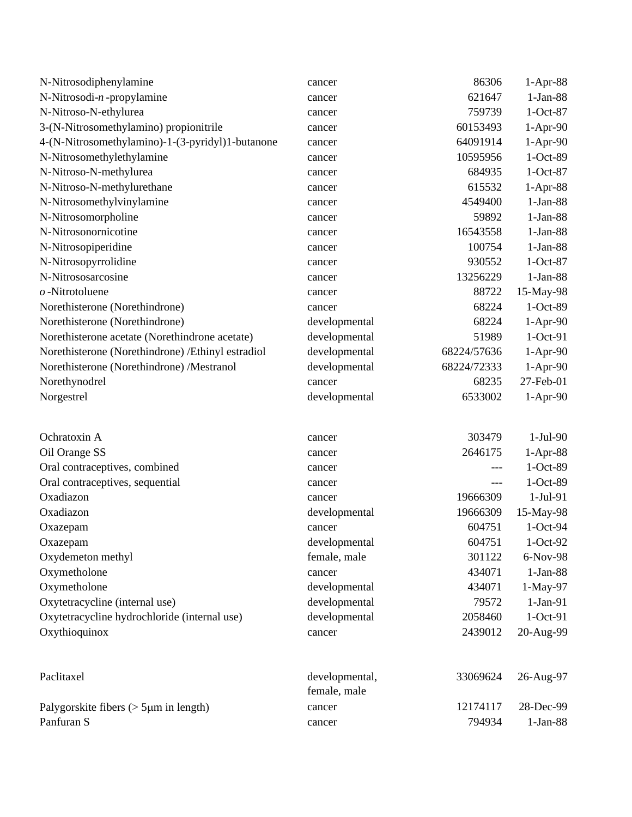| N-Nitrosodiphenylamine                             | cancer         | 86306       | $1-Apr-88$ |
|----------------------------------------------------|----------------|-------------|------------|
| $N\text{-Nitrosodi-}n\text{-}propylamine$          | cancer         | 621647      | $1-Jan-88$ |
| N-Nitroso-N-ethylurea                              | cancer         | 759739      | $1-Oct-87$ |
| 3-(N-Nitrosomethylamino) propionitrile             | cancer         | 60153493    | $1-Apr-90$ |
| 4-(N-Nitrosomethylamino)-1-(3-pyridyl)1-butanone   | cancer         | 64091914    | 1-Apr-90   |
| N-Nitrosomethylethylamine                          | cancer         | 10595956    | 1-Oct-89   |
| N-Nitroso-N-methylurea                             | cancer         | 684935      | $1-Oct-87$ |
| N-Nitroso-N-methylurethane                         | cancer         | 615532      | $1-Apr-88$ |
| N-Nitrosomethylvinylamine                          | cancer         | 4549400     | $1-Jan-88$ |
| N-Nitrosomorpholine                                | cancer         | 59892       | $1-Jan-88$ |
| N-Nitrosonornicotine                               | cancer         | 16543558    | $1-Jan-88$ |
| N-Nitrosopiperidine                                | cancer         | 100754      | $1-Jan-88$ |
| N-Nitrosopyrrolidine                               | cancer         | 930552      | $1-Oct-87$ |
| N-Nitrososarcosine                                 | cancer         | 13256229    | $1-Jan-88$ |
| $o$ -Nitrotoluene                                  | cancer         | 88722       | 15-May-98  |
| Norethisterone (Norethindrone)                     | cancer         | 68224       | 1-Oct-89   |
| Norethisterone (Norethindrone)                     | developmental  | 68224       | $1-Apr-90$ |
| Norethisterone acetate (Norethindrone acetate)     | developmental  | 51989       | $1-Oct-91$ |
| Norethisterone (Norethindrone) / Ethinyl estradiol | developmental  | 68224/57636 | $1-Apr-90$ |
| Norethisterone (Norethindrone) /Mestranol          | developmental  | 68224/72333 | 1-Apr-90   |
| Norethynodrel                                      | cancer         | 68235       | 27-Feb-01  |
| Norgestrel                                         | developmental  | 6533002     | $1-Apr-90$ |
| Ochratoxin A                                       | cancer         | 303479      | $1-Jul-90$ |
| Oil Orange SS                                      | cancer         | 2646175     | $1-Apr-88$ |
| Oral contraceptives, combined                      | cancer         |             | 1-Oct-89   |
| Oral contraceptives, sequential                    | cancer         | ---         | 1-Oct-89   |
| Oxadiazon                                          | cancer         | 19666309    | 1-Jul-91   |
| Oxadiazon                                          | developmental  | 19666309    | 15-May-98  |
| Oxazepam                                           | cancer         | 604751      | 1-Oct-94   |
| Oxazepam                                           | developmental  | 604751      | 1-Oct-92   |
| Oxydemeton methyl                                  | female, male   | 301122      | 6-Nov-98   |
| Oxymetholone                                       | cancer         | 434071      | $1-Jan-88$ |
| Oxymetholone                                       | developmental  | 434071      | 1-May-97   |
| Oxytetracycline (internal use)                     | developmental  | 79572       | $1-Jan-91$ |
| Oxytetracycline hydrochloride (internal use)       | developmental  | 2058460     | $1-Oct-91$ |
| Oxythioquinox                                      | cancer         | 2439012     | 20-Aug-99  |
| Paclitaxel                                         | developmental, | 33069624    | 26-Aug-97  |
|                                                    | female, male   |             |            |
| Palygorskite fibers ( $>$ 5 $\mu$ m in length)     | cancer         | 12174117    | 28-Dec-99  |
| Panfuran S                                         | cancer         | 794934      | $1-Jan-88$ |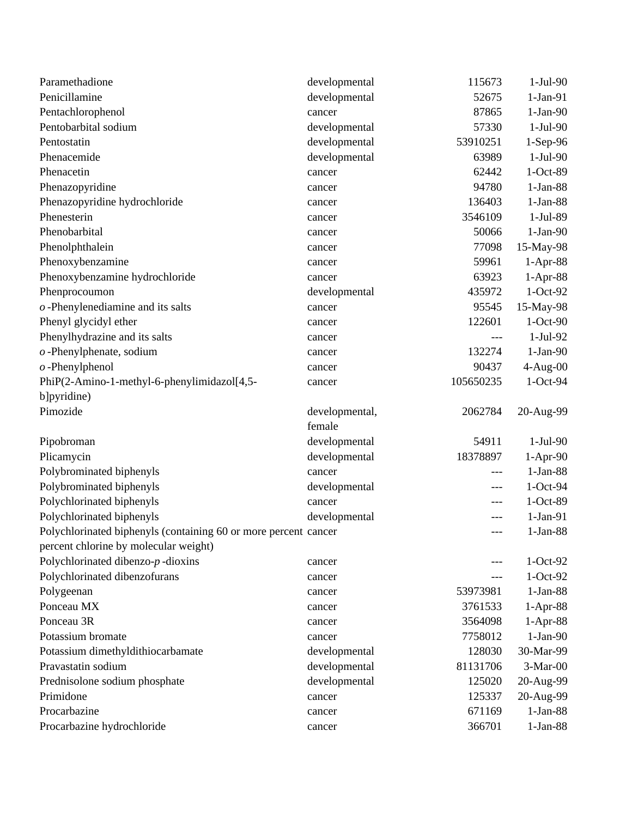| Paramethadione                                                  | developmental  | 115673    | $1-Jul-90$ |
|-----------------------------------------------------------------|----------------|-----------|------------|
| Penicillamine                                                   | developmental  | 52675     | $1-Jan-91$ |
| Pentachlorophenol                                               | cancer         | 87865     | $1-Jan-90$ |
| Pentobarbital sodium                                            | developmental  | 57330     | $1-Jul-90$ |
| Pentostatin                                                     | developmental  | 53910251  | 1-Sep-96   |
| Phenacemide                                                     | developmental  | 63989     | $1-Jul-90$ |
| Phenacetin                                                      | cancer         | 62442     | $1-Oct-89$ |
| Phenazopyridine                                                 | cancer         | 94780     | $1-Jan-88$ |
| Phenazopyridine hydrochloride                                   | cancer         | 136403    | $1-Jan-88$ |
| Phenesterin                                                     | cancer         | 3546109   | 1-Jul-89   |
| Phenobarbital                                                   | cancer         | 50066     | $1-Jan-90$ |
| Phenolphthalein                                                 | cancer         | 77098     | 15-May-98  |
| Phenoxybenzamine                                                | cancer         | 59961     | $1-Apr-88$ |
| Phenoxybenzamine hydrochloride                                  | cancer         | 63923     | 1-Apr-88   |
| Phenprocoumon                                                   | developmental  | 435972    | $1-Oct-92$ |
| $o$ -Phenylenediamine and its salts                             | cancer         | 95545     | 15-May-98  |
| Phenyl glycidyl ether                                           | cancer         | 122601    | $1-Oct-90$ |
| Phenylhydrazine and its salts                                   | cancer         | ---       | $1-Jul-92$ |
| $o$ -Phenylphenate, sodium                                      | cancer         | 132274    | $1-Jan-90$ |
| $o$ -Phenylphenol                                               | cancer         | 90437     | $4-Aug-00$ |
| PhiP(2-Amino-1-methyl-6-phenylimidazol[4,5-                     | cancer         | 105650235 | 1-Oct-94   |
|                                                                 |                |           |            |
| b]pyridine)                                                     |                |           |            |
| Pimozide                                                        | developmental, | 2062784   | 20-Aug-99  |
|                                                                 | female         |           |            |
| Pipobroman                                                      | developmental  | 54911     | $1-Jul-90$ |
| Plicamycin                                                      | developmental  | 18378897  | $1-Apr-90$ |
| Polybrominated biphenyls                                        | cancer         | ---       | $1-Jan-88$ |
| Polybrominated biphenyls                                        | developmental  | $---$     | $1-Oct-94$ |
| Polychlorinated biphenyls                                       | cancer         |           | $1-Oct-89$ |
| Polychlorinated biphenyls                                       | developmental  | ---       | $1-Jan-91$ |
| Polychlorinated biphenyls (containing 60 or more percent cancer |                | $---$     | $1-Jan-88$ |
| percent chlorine by molecular weight)                           |                |           |            |
| Polychlorinated dibenzo- $p$ -dioxins                           | cancer         |           | $1-Oct-92$ |
| Polychlorinated dibenzofurans                                   | cancer         | ---       | $1-Oct-92$ |
| Polygeenan                                                      | cancer         | 53973981  | $1-Jan-88$ |
| Ponceau MX                                                      | cancer         | 3761533   | 1-Apr-88   |
| Ponceau 3R                                                      | cancer         | 3564098   | 1-Apr-88   |
| Potassium bromate                                               | cancer         | 7758012   | $1-Jan-90$ |
| Potassium dimethyldithiocarbamate                               | developmental  | 128030    | 30-Mar-99  |
| Pravastatin sodium                                              | developmental  | 81131706  | $3-Mar-00$ |
| Prednisolone sodium phosphate                                   | developmental  | 125020    | 20-Aug-99  |
| Primidone                                                       | cancer         | 125337    | 20-Aug-99  |
| Procarbazine                                                    | cancer         | 671169    | $1-Jan-88$ |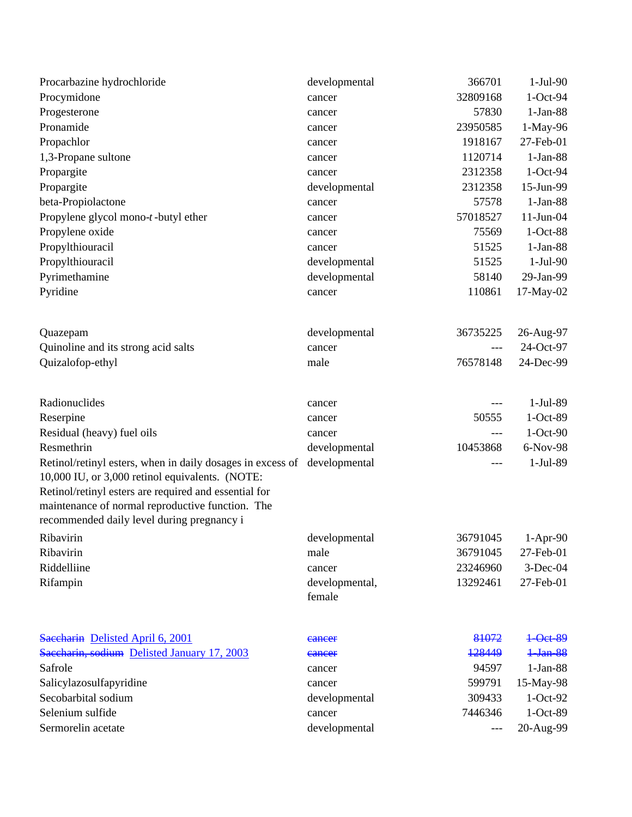| Procarbazine hydrochloride                                                                                                                                                                                                                                                             | developmental            | 366701               | $1-Jul-90$              |
|----------------------------------------------------------------------------------------------------------------------------------------------------------------------------------------------------------------------------------------------------------------------------------------|--------------------------|----------------------|-------------------------|
| Procymidone                                                                                                                                                                                                                                                                            | cancer                   | 32809168             | 1-Oct-94                |
| Progesterone                                                                                                                                                                                                                                                                           | cancer                   | 57830                | $1-Jan-88$              |
| Pronamide                                                                                                                                                                                                                                                                              | cancer                   | 23950585             | 1-May-96                |
| Propachlor                                                                                                                                                                                                                                                                             | cancer                   | 1918167              | 27-Feb-01               |
| 1,3-Propane sultone                                                                                                                                                                                                                                                                    | cancer                   | 1120714              | $1-Jan-88$              |
| Propargite                                                                                                                                                                                                                                                                             | cancer                   | 2312358              | $1-Oct-94$              |
| Propargite                                                                                                                                                                                                                                                                             | developmental            | 2312358              | 15-Jun-99               |
| beta-Propiolactone                                                                                                                                                                                                                                                                     | cancer                   | 57578                | $1-Jan-88$              |
| Propylene glycol mono-t-butyl ether                                                                                                                                                                                                                                                    | cancer                   | 57018527             | $11$ -Jun-04            |
| Propylene oxide                                                                                                                                                                                                                                                                        | cancer                   | 75569                | $1-Oct-88$              |
| Propylthiouracil                                                                                                                                                                                                                                                                       | cancer                   | 51525                | $1-Jan-88$              |
| Propylthiouracil                                                                                                                                                                                                                                                                       | developmental            | 51525                | $1-Jul-90$              |
| Pyrimethamine                                                                                                                                                                                                                                                                          | developmental            | 58140                | 29-Jan-99               |
| Pyridine                                                                                                                                                                                                                                                                               | cancer                   | 110861               | 17-May-02               |
| Quazepam                                                                                                                                                                                                                                                                               | developmental            | 36735225             | 26-Aug-97               |
| Quinoline and its strong acid salts                                                                                                                                                                                                                                                    | cancer                   | ---                  | 24-Oct-97               |
| Quizalofop-ethyl                                                                                                                                                                                                                                                                       | male                     | 76578148             | 24-Dec-99               |
| Radionuclides                                                                                                                                                                                                                                                                          | cancer                   | $---$                | $1-Jul-89$              |
| Reserpine                                                                                                                                                                                                                                                                              | cancer                   | 50555                | $1-Oct-89$              |
| Residual (heavy) fuel oils                                                                                                                                                                                                                                                             | cancer                   | ---                  | $1-Oct-90$              |
| Resmethrin                                                                                                                                                                                                                                                                             | developmental            | 10453868             | 6-Nov-98                |
| Retinol/retinyl esters, when in daily dosages in excess of developmental<br>10,000 IU, or 3,000 retinol equivalents. (NOTE:<br>Retinol/retinyl esters are required and essential for<br>maintenance of normal reproductive function. The<br>recommended daily level during pregnancy i |                          |                      | $1-Jul-89$              |
|                                                                                                                                                                                                                                                                                        |                          |                      |                         |
| Ribavirin<br>Ribavirin                                                                                                                                                                                                                                                                 | developmental<br>male    | 36791045<br>36791045 | $1-Apr-90$<br>27-Feb-01 |
| Riddelliine                                                                                                                                                                                                                                                                            |                          | 23246960             | $3-Dec-04$              |
| Rifampin                                                                                                                                                                                                                                                                               | cancer                   | 13292461             | 27-Feb-01               |
|                                                                                                                                                                                                                                                                                        | developmental,<br>female |                      |                         |
| Saecharin Delisted April 6, 2001                                                                                                                                                                                                                                                       | cancer                   | 81072                | 1-Oct-89                |
| Saecharin, sodium Delisted January 17, 2003                                                                                                                                                                                                                                            | cancer                   | 128449               | 1 Jan 88                |
| Safrole                                                                                                                                                                                                                                                                                | cancer                   | 94597                | $1-Jan-88$              |
| Salicylazosulfapyridine                                                                                                                                                                                                                                                                | cancer                   | 599791               | 15-May-98               |
| Secobarbital sodium                                                                                                                                                                                                                                                                    | developmental            | 309433               | $1-Oct-92$              |
| Selenium sulfide                                                                                                                                                                                                                                                                       | cancer                   | 7446346              | $1-Oct-89$              |
| Sermorelin acetate                                                                                                                                                                                                                                                                     | developmental            | ---                  | 20-Aug-99               |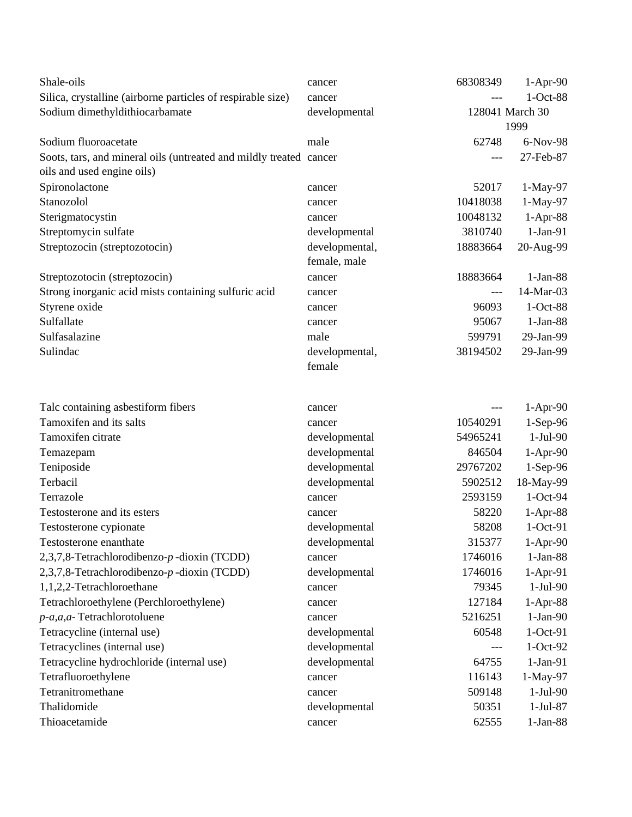| Shale-oils                                                         | cancer         | 68308349        | $1-Apr-90$ |
|--------------------------------------------------------------------|----------------|-----------------|------------|
| Silica, crystalline (airborne particles of respirable size)        | cancer         |                 | 1-Oct-88   |
| Sodium dimethyldithiocarbamate                                     | developmental  | 128041 March 30 |            |
|                                                                    |                |                 | 1999       |
| Sodium fluoroacetate                                               | male           | 62748           | 6-Nov-98   |
| Soots, tars, and mineral oils (untreated and mildly treated cancer |                | ---             | 27-Feb-87  |
| oils and used engine oils)                                         |                |                 |            |
| Spironolactone                                                     | cancer         | 52017           | 1-May-97   |
| Stanozolol                                                         | cancer         | 10418038        | 1-May-97   |
| Sterigmatocystin                                                   | cancer         | 10048132        | 1-Apr-88   |
| Streptomycin sulfate                                               | developmental  | 3810740         | $1-Jan-91$ |
| Streptozocin (streptozotocin)                                      | developmental, | 18883664        | 20-Aug-99  |
|                                                                    | female, male   |                 |            |
| Streptozotocin (streptozocin)                                      | cancer         | 18883664        | $1-Jan-88$ |
| Strong inorganic acid mists containing sulfuric acid               | cancer         | $---$           | 14-Mar-03  |
| Styrene oxide                                                      | cancer         | 96093           | 1-Oct-88   |
| Sulfallate                                                         | cancer         | 95067           | $1-Jan-88$ |
| Sulfasalazine                                                      | male           | 599791          | 29-Jan-99  |
| Sulindac                                                           | developmental, | 38194502        | 29-Jan-99  |
|                                                                    | female         |                 |            |
| Talc containing asbestiform fibers                                 | cancer         |                 | $1-Apr-90$ |
| Tamoxifen and its salts                                            | cancer         | 10540291        | $1-Sep-96$ |
| Tamoxifen citrate                                                  | developmental  | 54965241        | $1-Jul-90$ |
| Temazepam                                                          | developmental  | 846504          | $1-Apr-90$ |
| Teniposide                                                         | developmental  | 29767202        | $1-Sep-96$ |
| Terbacil                                                           | developmental  | 5902512         | 18-May-99  |
| Terrazole                                                          | cancer         | 2593159         | 1-Oct-94   |
| Testosterone and its esters                                        | cancer         | 58220           | $1-Apr-88$ |
| Testosterone cypionate                                             | developmental  | 58208           | $1-Oct-91$ |
| Testosterone enanthate                                             | developmental  | 315377          | 1-Apr-90   |
| 2,3,7,8-Tetrachlorodibenzo-p-dioxin (TCDD)                         | cancer         | 1746016         | $1-Jan-88$ |
| 2,3,7,8-Tetrachlorodibenzo-p-dioxin (TCDD)                         | developmental  | 1746016         | $1-Apr-91$ |
| 1,1,2,2-Tetrachloroethane                                          | cancer         | 79345           | $1-Jul-90$ |
| Tetrachloroethylene (Perchloroethylene)                            | cancer         | 127184          | $1-Apr-88$ |
| p-a, a, a-Tetrachlorotoluene                                       | cancer         | 5216251         | $1-Jan-90$ |
| Tetracycline (internal use)                                        | developmental  | 60548           | $1-Oct-91$ |
| Tetracyclines (internal use)                                       | developmental  |                 | $1-Oct-92$ |
| Tetracycline hydrochloride (internal use)                          | developmental  | 64755           | $1-Jan-91$ |
| Tetrafluoroethylene                                                | cancer         | 116143          | 1-May-97   |
| Tetranitromethane                                                  | cancer         | 509148          | $1-Jul-90$ |
| Thalidomide                                                        | developmental  | 50351           | $1-Jul-87$ |
| Thioacetamide                                                      | cancer         | 62555           | $1-Jan-88$ |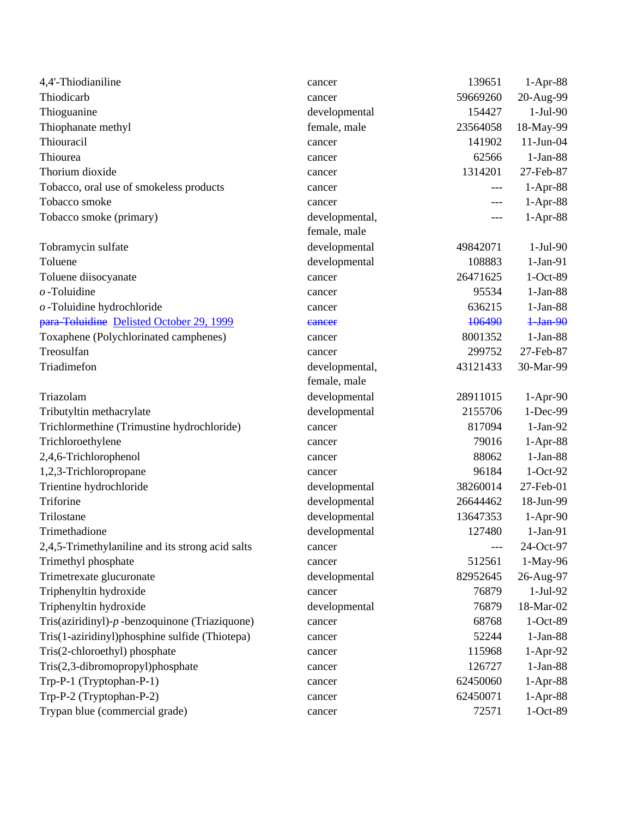| 4,4'-Thiodianiline                               | cancer         | 139651   | 1-Apr-88     |
|--------------------------------------------------|----------------|----------|--------------|
| Thiodicarb                                       | cancer         | 59669260 | 20-Aug-99    |
| Thioguanine                                      | developmental  | 154427   | $1-Jul-90$   |
| Thiophanate methyl                               | female, male   | 23564058 | 18-May-99    |
| Thiouracil                                       | cancer         | 141902   | $11$ -Jun-04 |
| Thiourea                                         | cancer         | 62566    | $1-Jan-88$   |
| Thorium dioxide                                  | cancer         | 1314201  | 27-Feb-87    |
| Tobacco, oral use of smokeless products          | cancer         | ---      | $1-Apr-88$   |
| Tobacco smoke                                    | cancer         | ---      | 1-Apr-88     |
| Tobacco smoke (primary)                          | developmental, | ---      | 1-Apr-88     |
|                                                  | female, male   |          |              |
| Tobramycin sulfate                               | developmental  | 49842071 | 1-Jul-90     |
| Toluene                                          | developmental  | 108883   | $1-Jan-91$   |
| Toluene diisocyanate                             | cancer         | 26471625 | 1-Oct-89     |
| $o$ -Toluidine                                   | cancer         | 95534    | $1-Jan-88$   |
| $o$ -Toluidine hydrochloride                     | cancer         | 636215   | $1-Jan-88$   |
| para-Toluidine Delisted October 29, 1999         | eancer         | 106490   | $1-Jan-90$   |
| Toxaphene (Polychlorinated camphenes)            | cancer         | 8001352  | $1-Jan-88$   |
| Treosulfan                                       | cancer         | 299752   | 27-Feb-87    |
| Triadimefon                                      | developmental, | 43121433 | 30-Mar-99    |
|                                                  | female, male   |          |              |
| Triazolam                                        | developmental  | 28911015 | $1-Apr-90$   |
| Tributyltin methacrylate                         | developmental  | 2155706  | 1-Dec-99     |
| Trichlormethine (Trimustine hydrochloride)       | cancer         | 817094   | $1-Jan-92$   |
| Trichloroethylene                                | cancer         | 79016    | $1-Apr-88$   |
| 2,4,6-Trichlorophenol                            | cancer         | 88062    | $1-Jan-88$   |
| 1,2,3-Trichloropropane                           | cancer         | 96184    | $1-Oct-92$   |
| Trientine hydrochloride                          | developmental  | 38260014 | 27-Feb-01    |
| Triforine                                        | developmental  | 26644462 | 18-Jun-99    |
| Trilostane                                       | developmental  | 13647353 | $1-Apr-90$   |
| Trimethadione                                    | developmental  | 127480   | $1-Jan-91$   |
| 2,4,5-Trimethylaniline and its strong acid salts | cancer         | $---$    | 24-Oct-97    |
| Trimethyl phosphate                              | cancer         | 512561   | 1-May-96     |
| Trimetrexate glucuronate                         | developmental  | 82952645 | 26-Aug-97    |
| Triphenyltin hydroxide                           | cancer         | 76879    | $1-Jul-92$   |
| Triphenyltin hydroxide                           | developmental  | 76879    | 18-Mar-02    |
| Tris(aziridinyl)-p-benzoquinone (Triaziquone)    | cancer         | 68768    | 1-Oct-89     |
| Tris(1-aziridinyl)phosphine sulfide (Thiotepa)   | cancer         | 52244    | $1-Jan-88$   |
| Tris(2-chloroethyl) phosphate                    | cancer         | 115968   | $1-Apr-92$   |
| Tris(2,3-dibromopropyl)phosphate                 | cancer         | 126727   | $1-Jan-88$   |
| Trp-P-1 (Tryptophan-P-1)                         | cancer         | 62450060 | $1-Apr-88$   |
| Trp-P-2 (Tryptophan-P-2)                         | cancer         | 62450071 | 1-Apr-88     |
| Trypan blue (commercial grade)                   | cancer         | 72571    | 1-Oct-89     |
|                                                  |                |          |              |